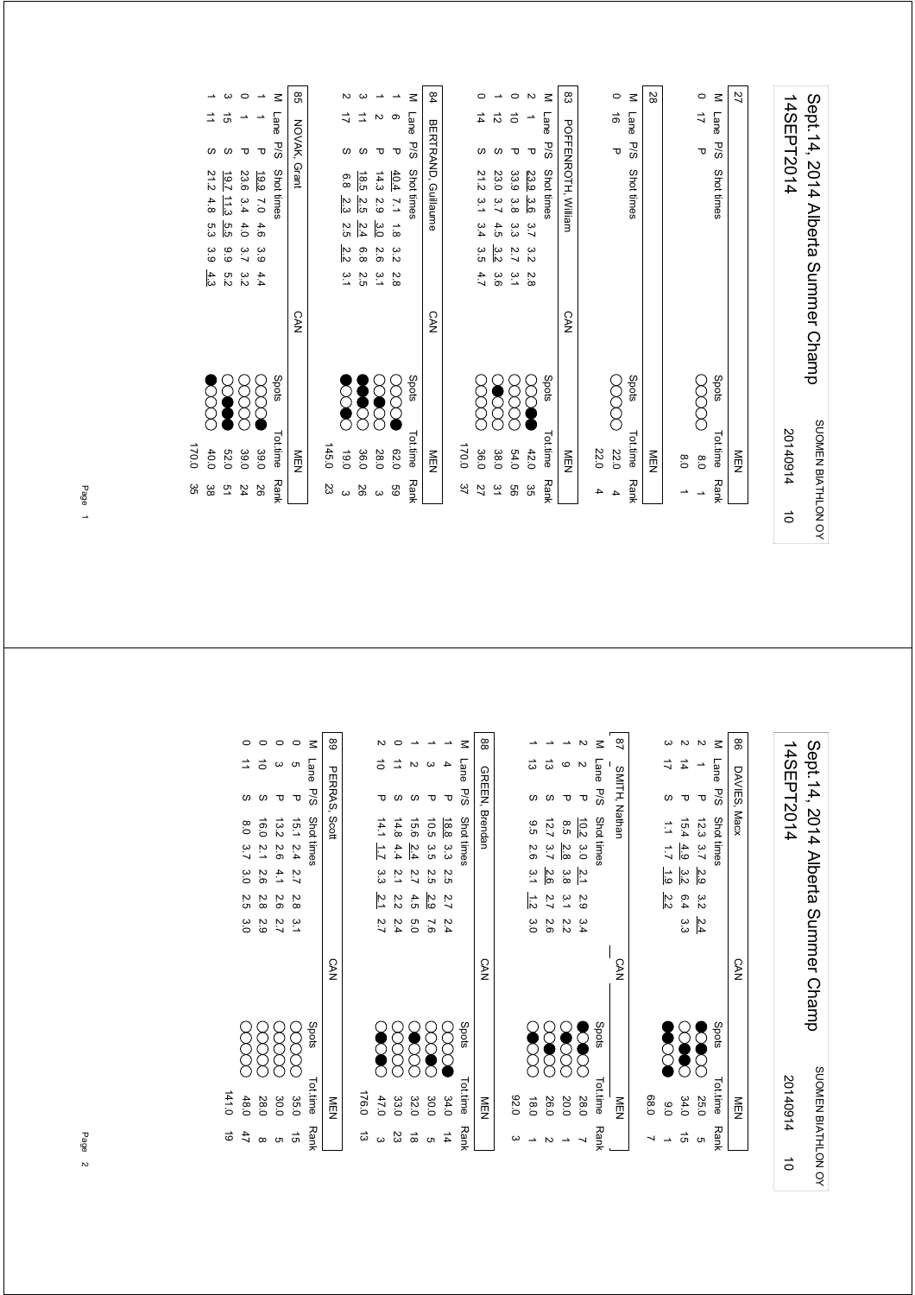|               | Sept.14,             |                  | 2014                |                 |                |               |               | Alberta Summer Champ |       |          |                   | SUOMEN BIATHLON OY |
|---------------|----------------------|------------------|---------------------|-----------------|----------------|---------------|---------------|----------------------|-------|----------|-------------------|--------------------|
|               | 14SEPT2014           |                  |                     |                 |                |               |               |                      |       | 20140914 |                   | $\vec{0}$          |
|               |                      |                  |                     |                 |                |               |               |                      |       |          |                   |                    |
| 27            |                      |                  |                     |                 |                |               |               |                      |       | NEN      |                   |                    |
| $\leq$        | Lane                 | <b>P/S</b>       | Shot times          |                 |                |               |               |                      | Spots | Tot.time | Rank              |                    |
| $\circ$       | $\overrightarrow{L}$ | Δ                |                     |                 |                |               |               |                      |       | 0.8      | ∸                 |                    |
|               |                      |                  |                     |                 |                |               |               |                      |       | 0.8      | ∸                 |                    |
| 28            |                      |                  |                     |                 |                |               |               |                      |       | NEN      |                   |                    |
| $\leq$        | Lane                 | <b>P/S</b>       | Shot times          |                 |                |               |               |                      | Spots | Tot.time | Rank              |                    |
| $\circ$       | ಹೆ                   | ᠊ᠣ               |                     |                 |                |               |               |                      |       | 22.0     | 4                 |                    |
|               |                      |                  |                     |                 |                |               |               |                      |       | 22.0     | 4                 |                    |
| ಙ             |                      |                  | POFFENROTH, William |                 |                |               |               | <b>CAN</b>           |       | NEN      |                   |                    |
| $\leq$        | Lane                 | <b>P/S</b>       | Shot times          |                 |                |               |               |                      | Spots | Tottime  | Rank              |                    |
| Z             | ∸                    | $\mathbf \sigma$ | 23.9                | 3.6             | 3.7            | $\frac{8}{5}$ | 2.8           |                      |       | 42.0     | ပ္ပ               |                    |
| $\circ$       | $\vec{0}$            | τ                | 33.9                | 3.8             | ین<br>ن        | 2.7           | $\frac{2}{3}$ |                      |       | 54.0     | 99                |                    |
| ∸             | ನ                    | S                | 23.0                | 3.7             | 4.5            | 3.2           | 3.6           |                      |       | 38.0     | $\tilde{5}$       |                    |
| 0             | 4                    | ഗ                | 21.2                | 5.1             | 3.4            | 3.5           | 4.7           |                      |       | 36.0     | 27                |                    |
|               |                      |                  |                     |                 |                |               |               |                      |       | 170.0    | 37                |                    |
| 84            |                      |                  | BERTRAND, Guillaume |                 |                |               |               | <b>CAN</b>           |       | NEN      |                   |                    |
| $\leq$        | Lane                 | <b>P/S</b>       | Shot times          |                 |                |               |               |                      | Spots | Tot.time | Rank              |                    |
| $\rightarrow$ | ၜ                    | τ                | 40.4                | $\overline{11}$ | $\overline{8}$ | 3.2           | 2.8           |                      |       | 020      | 69                |                    |
| $\rightarrow$ | Z                    | τ                | 14.3                | 2.9             | 3.0            | 2.6           | $\frac{2}{3}$ |                      |       | 28.0     | $\mathbf{\omega}$ |                    |
| ω             | ⇉                    | ဖ                | 18.5                | 2.5             | 2.4            | 6.8           | 2.5           |                      |       | 36.0     | 56                |                    |
| N             | ド                    | $\omega$         | 6.8                 | 2.3             | 2.5            | 2.2           | 3.1           |                      |       | 0.91     | $\omega$          |                    |
|               |                      |                  |                     |                 |                |               |               |                      |       | 145.0    | ಜ                 |                    |
| 8             |                      | NOVAK,           | Grant               |                 |                |               |               | CAN                  |       | MEN<br>N |                   |                    |
| $\leq$        | Lane                 | P/S              | Shot times          |                 |                |               |               |                      | Spots | Tot.time | <b>Rank</b>       |                    |
| $\rightarrow$ |                      | τ                | 661                 | $\overline{0}$  | 4.6            | 3.9           | 4.4           |                      |       | 39.0     | 92                |                    |
| $\circ$       |                      | τ                | 23.6                | 3.4             | 4.0            | 3.7           | 3.2           |                      |       | 39.0     | 54                |                    |
| ယ             | ੌ                    | ဖ                | 19.7                | $\frac{113}{2}$ | 5.5            | 66            | 5.2           |                      |       | 032      | 51                |                    |
|               |                      | ဖ                | 21.2                | 4.8             | ς,             | م.<br>6       | $\frac{4}{3}$ |                      |       | 40.0     | အိ                |                    |

Page 1

170.0 35

170.0 35

| 2 1 P 12337 29 32 24     | M Lane P/S Shottimes                 | 86 DAVIES, Macx | 14SEPT2014  |                                     |
|--------------------------|--------------------------------------|-----------------|-------------|-------------------------------------|
|                          |                                      |                 |             |                                     |
|                          |                                      |                 |             |                                     |
|                          |                                      |                 |             |                                     |
|                          |                                      | <b>CAN</b>      |             | Sept. 14, 2014 Alberta Summer Champ |
|                          | Spots<br>Spots<br>International Rank |                 |             |                                     |
|                          |                                      |                 |             |                                     |
|                          |                                      | NEN             |             |                                     |
| $\sum_{350}$ $\sum_{50}$ |                                      |                 | 20140914 10 |                                     |
|                          |                                      |                 |             | SUOMEN BIATHLON OY                  |
|                          |                                      |                 |             |                                     |

| M Lane P/S Shot tinnes | 92<br>SMITH, Nathan |      | $\vec{=}$     |                            |                      | i<br><b>המונח המונח המונח המונחה</b> |
|------------------------|---------------------|------|---------------|----------------------------|----------------------|--------------------------------------|
|                        |                     |      |               |                            |                      |                                      |
|                        |                     |      |               |                            |                      |                                      |
|                        |                     |      |               |                            |                      |                                      |
|                        |                     |      |               |                            |                      |                                      |
|                        |                     |      |               |                            |                      |                                      |
|                        |                     |      | $1.7$ 1.9 2.2 | $15.4$ $4.9$ $3.2$ 6.4 3.3 | 12.3 3.7 2.9 3.2 2.4 |                                      |
|                        |                     |      |               |                            |                      |                                      |
|                        |                     |      |               |                            |                      |                                      |
|                        | <b>CAN</b>          |      |               |                            |                      |                                      |
| Spots                  |                     |      | <b>Second</b> | <b>SCRATC</b>              | <b>Second</b>        | crocks                               |
| Tot.time Rank          | NEN                 | 08.0 | $\frac{6}{5}$ | 34.0                       | 25.0                 | <b>CONTRACTOR</b>                    |
|                        |                     |      |               | ີຫ                         | <b>ຕ</b>             |                                      |

|       |           |                                                  |                  |          |                  |             | 88             |      |     |                                                                                                                                                                                       |         |               |
|-------|-----------|--------------------------------------------------|------------------|----------|------------------|-------------|----------------|------|-----|---------------------------------------------------------------------------------------------------------------------------------------------------------------------------------------|---------|---------------|
|       | $\vec{0}$ |                                                  |                  |          |                  | Lane        |                |      | ಹ   | ದ                                                                                                                                                                                     | ဖ       |               |
|       |           |                                                  |                  | ᠊ᠣ       | τ                | 58          | GREEN, Brendan |      |     |                                                                                                                                                                                       |         | ᠊ᠣ            |
|       | 14.1      | 14.8                                             | 15.6             | 10.5     |                  |             |                |      | 9.5 | 12.7                                                                                                                                                                                  | ვ.<br>ნ | 10.2          |
|       | 1.7 3.3   | 4.4                                              | $\frac{2.4}{4}$  | 3.5      | 18.8 3.3         | Shot times  |                |      |     | 2012-02<br>2012-02                                                                                                                                                                    |         | ပ္ပ           |
|       |           | $\overline{2}$                                   | $2.5$<br>2.7     |          | 2.5              |             |                |      | 3.1 | ယ် <i>လ</i><br>ထိ ထိ                                                                                                                                                                  |         | $\frac{2}{3}$ |
|       |           | $\frac{21}{10}$ 4 2 3 3<br>$\frac{21}{10}$ 9 3 4 |                  |          | $\overline{2}.7$ |             |                |      |     | $\begin{array}{ccc}\n\ddot{\circ} & \dot{\circ} & \dot{\circ} \\ \hline\n\ddot{\circ} & \ddot{\circ} & \dot{\circ} \\ \hline\n\ddot{\circ} & \ddot{\circ} & \dot{\circ}\n\end{array}$ |         | 2.9           |
|       | 2.7       | 5.4                                              | 5<br>5<br>9<br>7 |          | 2.4              |             |                |      | 3.0 | 2.6                                                                                                                                                                                   | 2.2     | 3.4           |
|       |           |                                                  |                  |          |                  |             | <b>CAN</b>     |      |     |                                                                                                                                                                                       |         |               |
|       |           |                                                  |                  |          |                  | Spots       |                |      |     |                                                                                                                                                                                       |         | $\zeta$       |
| 176.0 |           | $32.0$<br>$33.0$<br>$47.0$                       |                  | 30.0     | 34.0             | Tot.time    | NEN            | 03.0 |     | 20.0<br>26.0<br>18.0                                                                                                                                                                  |         | 28.0          |
| ದ     |           | 23                                               | ಹ                | <b>თ</b> | $\frac{1}{4}$    | <b>Rank</b> |                |      |     |                                                                                                                                                                                       |         |               |

|         |                     |             |                      |                      | $\leq$        | 68            |
|---------|---------------------|-------------|----------------------|----------------------|---------------|---------------|
|         |                     |             |                      |                      | Lane<br>P/S   |               |
|         |                     | S           | ᠊ᠣ                   | ᠊ᠣ                   |               | PERRAS, Scott |
|         |                     | 16.0        |                      |                      | Shot times    |               |
|         | 8.0 3.7 3.0 2.5 3.0 | 2.1 2.6 2.8 | 13.2 2.6 4.1 2.6 2.7 | 15.1 2.4 2.7 2.8 3.1 |               |               |
|         |                     |             |                      |                      |               |               |
|         |                     |             |                      |                      |               |               |
|         |                     | 29          |                      |                      |               |               |
|         |                     |             |                      |                      |               | <b>CAN</b>    |
|         | gg                  | 8<br>8      | xxxx                 | 8<br>8               | Spots         |               |
|         |                     |             |                      |                      | Tot.time Rank |               |
| 141.0   | 48.0                | 28.0        | 30.0                 | 35.0                 |               | ≧□            |
| er<br>9 | 47                  |             | c                    | ີຕ                   |               |               |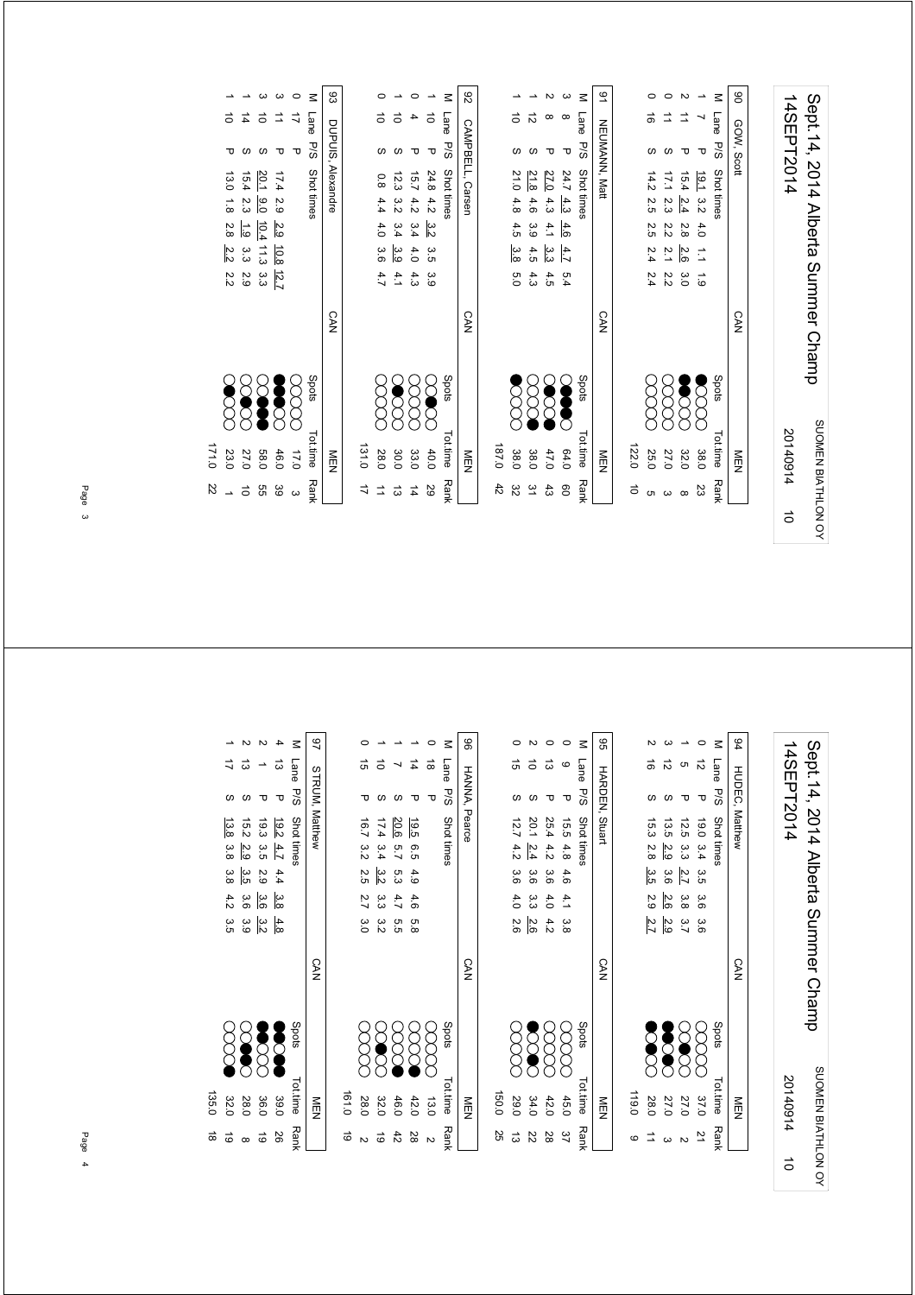| 14SEPT2014 | Sept. 14, 2014 Alberta Summer Champ |
|------------|-------------------------------------|
| 20140914   | SUOMEN BIATHLON OY                  |
| ਠੇ         |                                     |

|             | NEN      |               | <b>CAN</b> |               |               |     |                      |      | <b>NEUMANN, Matt</b> |          | 9T |
|-------------|----------|---------------|------------|---------------|---------------|-----|----------------------|------|----------------------|----------|----|
|             |          |               |            |               |               |     |                      |      |                      |          |    |
| $\vec{0}$   | 122.0    |               |            |               |               |     |                      |      |                      |          |    |
|             | 25.0     |               |            |               |               |     | 14.2 2.5 2.5 2.4 2.4 |      |                      | ಹೆ       |    |
|             | 27.0     |               |            | 22            | 2.1           |     | 17.1 2.3 2.2         |      |                      |          |    |
| ∞           | 32.0     | <b>Second</b> |            | $\frac{3}{5}$ | 2.6           | 2.8 | $-2.4$               | 15.4 |                      |          |    |
| Ωs          | 38.0     |               |            | $\frac{1}{6}$ | $\frac{1}{2}$ |     | $19.1$ 3.2 4.0       |      | ᠊ᠣ                   |          |    |
| <b>Rank</b> | Tot.time | Spots         |            |               |               |     | Shot times           |      |                      | Lane P/S | Μ  |
|             | MEN<br>N |               | <b>CAN</b> |               |               |     |                      |      | GOW, Scott           |          | 8  |
|             |          |               |            |               |               |     |                      |      |                      |          |    |

| 82               |       |                      |                  |                   |                  | $\leq$              | $\overline{6}$ |
|------------------|-------|----------------------|------------------|-------------------|------------------|---------------------|----------------|
|                  |       |                      |                  |                   | $\alpha$         | Lane P/S Shot times |                |
|                  |       |                      |                  |                   | τ                |                     |                |
| CAMPBELL, Carsen |       |                      |                  | 27.0              |                  |                     | NEUMANN, Matt  |
|                  |       |                      |                  |                   |                  |                     |                |
|                  |       | 21.0 4.8 4.5 3.8     | 21.8 4.6 3.9 4.5 | $4.3$ $4.1$ $3.3$ | 24.7 4.3 4.6 4.7 |                     |                |
|                  |       |                      |                  |                   |                  |                     |                |
|                  |       | 0.0                  | 4.3              | 4.5               | 5.4              |                     |                |
| <b>CAN</b>       |       |                      |                  |                   |                  |                     | <b>CAN</b>     |
|                  |       | $\sum_{\mathcal{C}}$ | $\gtrapprox$     | <b>SOC</b>        | <b>Second</b>    | Spots               |                |
| NEN<br>D         | 0.781 | 38.0                 | 38.0             | 47.0              | 64.0             | Tot.time Rank       | NEN            |
|                  | 42    | 32                   | $\approx$        | $\ddot{3}$        | 80               |                     |                |

|      | 131.0    |            |            |     |             |         |                     |    |        |
|------|----------|------------|------------|-----|-------------|---------|---------------------|----|--------|
|      | 28.0     | 8<br>8     |            |     | 3.64.7      | 4.0     | 0.84.4              |    |        |
| ದ    | 30.0     | <b>OOC</b> |            | 4.1 | .<br>ვ.     | 3.4     | 12.3322             |    |        |
| 14   | 33.0     | 8<br>8     |            |     | $4.0$ $4.3$ | 3.4     | 15.74.2             |    |        |
| 29   | 40.0     | E          |            |     | 3.5 3.9     | .<br>23 | 24.8 4.2            | ᠊ᠣ |        |
| Rank | Tot.time | Spots      |            |     |             |         | Lane P/S Shot times |    | $\leq$ |
|      | ≧□       |            | <b>CAN</b> |     |             |         | CAMPBELL, Carsen    |    | 82     |

|       |              |                     |             |                 |                         |               | යි                |
|-------|--------------|---------------------|-------------|-----------------|-------------------------|---------------|-------------------|
|       | $\vec{0}$    | $\vec{4}$           | ਨੇ          |                 |                         | Lane          |                   |
|       |              |                     |             |                 | τ                       | $\frac{1}{2}$ |                   |
|       |              | 15.4                | 20.1 9.0    | 17.4229         |                         | Shot times    | DUPUIS, Alexandre |
|       | 13.0 1.8 2.8 | .<br>ين             |             |                 |                         |               |                   |
|       |              | $\frac{1.9}{1.9}$ . | 10.4        | $\frac{2.9}{2}$ |                         |               |                   |
|       | 22           | ယ<br>ယ              | 11.3        | 10.8            |                         |               |                   |
|       | 22<br>22     | 2.9                 | م<br>ما     | $\sqrt{2.7}$    |                         |               |                   |
|       |              |                     |             |                 |                         |               | <b>CAN</b>        |
|       |              | <b>DOC</b>          | <b>SOUT</b> | <b>Section</b>  | $\sum\limits_{i=1}^{n}$ | Spots         |                   |
|       |              |                     |             |                 |                         |               |                   |
| 0.171 | 23.0         | 27.0                | <b>58.0</b> | 46.0            | 17.0                    | Tot.time Rank | MEN               |
| Z2    |              |                     | 9g          | 39              | $\omega$                |               |                   |

Sept.14, 2014 Alberta Summer Champ<br>14SEPT2014 Sept.14, 2014 Alberta Summer Champ 14SEPT2014 SUOMEN BIATHLON OY SUOMEN BIATHLON OY 201409145

| 94     |           |         | HUDEC, Matthew   |     |     |         | <b>CAN</b> |                | ≧⊡       |      |
|--------|-----------|---------|------------------|-----|-----|---------|------------|----------------|----------|------|
| $\leq$ | Lane      | s<br>Sd | Shot times       |     |     |         |            | Spots          | Tot.time | Rank |
|        | ನ         | τ       | 19.0 3.4 3.5 3.6 |     |     | .<br>ვ  |            | ECC            | 37.0     |      |
|        |           |         | 12.5 3.3         | 2.7 | 3.8 | ي<br>پا |            | 88             | 27.0     |      |
|        |           |         | 13.5 2.9         | 3.6 | 2.6 | 2.9     |            | <b>Second</b>  | 27.0     |      |
|        | $\vec{e}$ |         | 15.3 2.8 3.5     |     | 2.9 | 2.7     |            | <b>Section</b> | 28.0     |      |
|        |           |         |                  |     |     |         |            |                | 119.0    | c    |

|       |          |                   |         |              |            | 96                    |
|-------|----------|-------------------|---------|--------------|------------|-----------------------|
|       |          |                   | ದ       | C            | Lane       |                       |
|       |          |                   |         |              | P/S        | <b>HARDEN, Stuart</b> |
|       | 12.7     | 20.1              | 25.4    | 15.5 4.8 4.6 | Shot times |                       |
|       | 4.2      | $\frac{2.4}{2.4}$ | 4.23.36 |              |            |                       |
|       | .<br>ვ.ნ | ပ္ပ်              |         |              |            |                       |
|       | 4.0      | دن<br>دن          | 4.0     | 4.1 3.8      |            |                       |
|       | 2.6      | 2.6               | 4.2     |              |            |                       |
|       |          |                   |         |              |            | <b>CAN</b>            |
|       |          |                   |         |              |            |                       |
|       |          |                   |         |              |            |                       |
|       | g<br>8   | <b>SS</b>         | g       | ES           | Spots      |                       |
|       |          |                   |         |              |            |                       |
| 150.0 |          |                   |         |              | Tot.time   |                       |
|       | 29.0     | 34.0              | 42.0    | 45.0         |            | MEN                   |
| 25    |          | S                 | 28      | 92           | Rank       |                       |

| 86 |           |     | HANNA, Pearce |        |             |       |        | <b>CAN</b> |                         | M<br>四        |    |
|----|-----------|-----|---------------|--------|-------------|-------|--------|------------|-------------------------|---------------|----|
| z  | Lane      | S/d | Shot times    |        |             |       |        |            | spot <sub>s</sub>       | Tot.time Rank |    |
|    | $\vec{a}$ | ᠊ᠣ  |               |        |             |       |        |            | $\sum\limits_{i=1}^{n}$ | 13.0          |    |
|    | 4         |     | 19.5          | .<br>თ | 4.9         | 4.6   | ς<br>8 |            | 8<br>8                  | 42.0          | 28 |
|    |           |     | 20.6          | 5.7    | ري<br>ن     | 4.7   | თ<br>თ |            | 8<br>8                  | 46.0          | 42 |
|    | ਠੱ        |     | 17.4 3.4      |        | 32<br>22    | 3.322 |        |            | <b>SOC</b>              | 32.0          | ಠ  |
|    | G)        |     | 16.7 3.2      |        | 2.5 2.7 3.0 |       |        |            |                         | 28.0          |    |
|    |           |     |               |        |             |       |        |            |                         | 181.0         | 6  |
|    |           |     |               |        |             |       |        |            |                         |               |    |

|       |             |         |                         |                                         | z          | 97                    |
|-------|-------------|---------|-------------------------|-----------------------------------------|------------|-----------------------|
|       |             | ಪ       |                         | ದ                                       | Lane       |                       |
|       |             |         |                         | ᠊ᠣ                                      | -<br>Sa    |                       |
|       | 13.8 3.8    | 15.2    |                         | $\frac{19.2}{19.3} \frac{4.7}{3.5}$ 2.9 | Shot times | <b>STRUM, Matthew</b> |
|       |             | 2.9 3.5 |                         |                                         |            |                       |
|       | 3.8 4.2 3.5 |         |                         |                                         |            |                       |
|       |             |         | → မ<br>မျှ မျှ မှ<br>အ  |                                         |            |                       |
|       |             | 3.9     | $rac{4}{3}$ $rac{3}{4}$ |                                         |            |                       |
|       |             |         |                         |                                         |            | <b>CAN</b>            |
|       |             |         | 8888<br>8888            |                                         | Spots      |                       |
| 135.0 | 32.0        | 28.0    | 36.0                    | 39.0                                    | Tot.time   | ≧四                    |
|       |             |         | ಠ                       | 56                                      | Rank       |                       |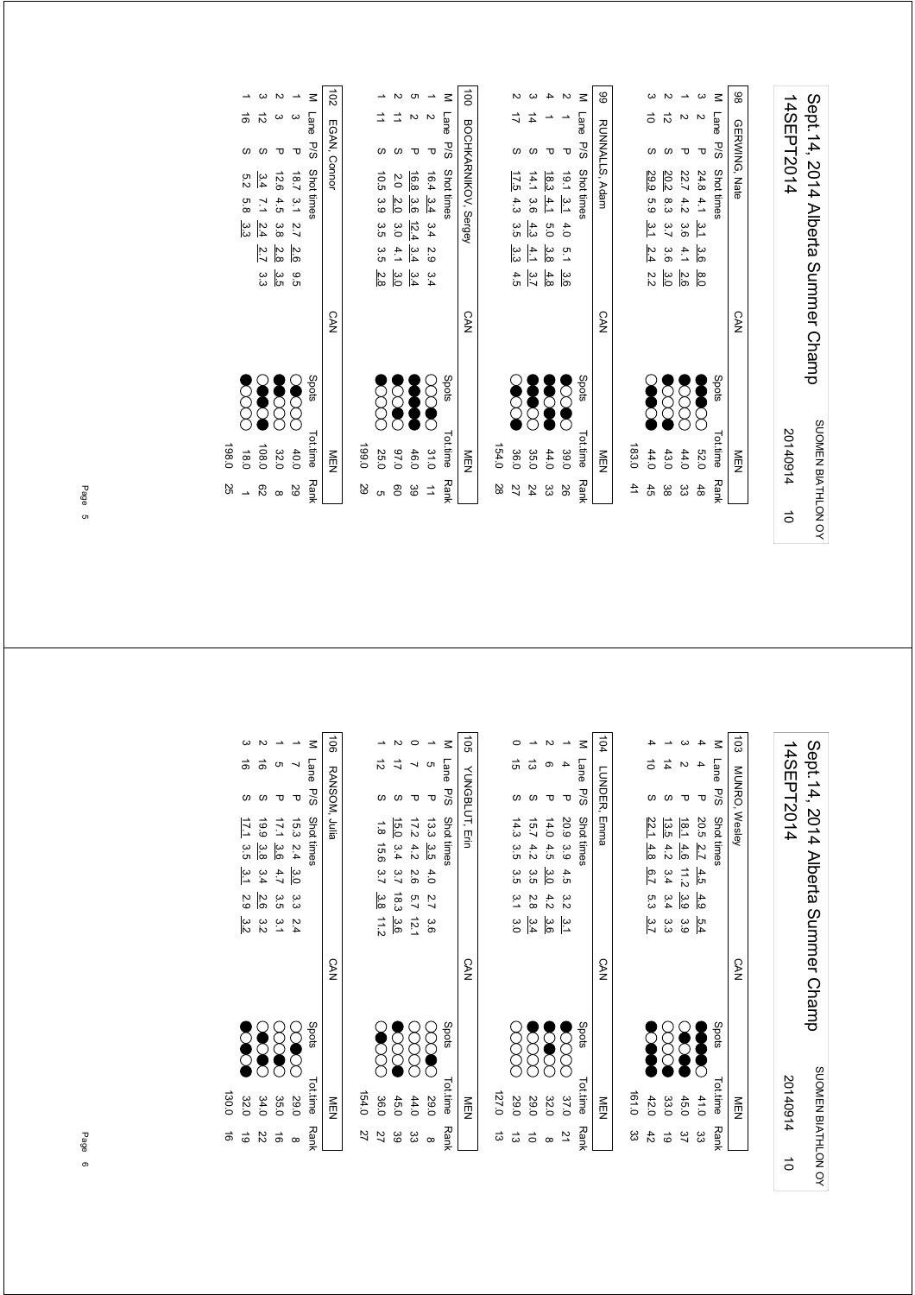| 14SEPT2014 | Sept. 14, 2014 Alberta Summer Champ |
|------------|-------------------------------------|
| 20140914   | SUOMEN BIATHLON OY                  |
| ਠੇ         |                                     |

| 183.0<br>$\overline{4}$ |                       | <b>CAN</b> |                 |                 |         | RUNNALLS, Adam      |               |   | 66     |
|-------------------------|-----------------------|------------|-----------------|-----------------|---------|---------------------|---------------|---|--------|
|                         |                       |            |                 |                 |         |                     |               |   |        |
|                         |                       |            |                 |                 |         |                     |               |   |        |
| 44.0<br>45              | Š                     |            | 22              | $\frac{2.4}{4}$ | 5.9 3.1 | 29.9                |               |   |        |
| 43.0<br>ပ္တ             | $\sum_{i=1}^{\infty}$ |            | $\frac{3.0}{2}$ | 3.6             | 8.3 3.7 | 20.2                |               | ಸ |        |
| 44.0<br>ယ္လ             |                       |            | 2.6             | 4.1             |         | 22.7 4.2 3.6        |               |   |        |
| <b>52.0</b><br>48       | <b>Section</b>        |            | $\frac{8}{20}$  | 3.6             |         | $24.84.1 \t3.1$     | ᠊ᠣ            |   |        |
| Tot.time<br><b>Rank</b> | Spots                 |            |                 |                 |         | Lane P/S Shot times |               |   | $\leq$ |
| MEN<br>N                |                       | <b>CAN</b> |                 |                 |         |                     | GERWING, Nate |   | 86     |

| NEN<br>N |                        | <b>CAN</b> |                                     | 100 BOCHKANIKOV, Sergey  |                |   |
|----------|------------------------|------------|-------------------------------------|--------------------------|----------------|---|
| 154.0    |                        |            |                                     |                          |                |   |
| 36.0     | <b>SC</b>              |            | 4.5                                 | 17.5 4.3 3.5 3.3         |                |   |
| 35.0     | <b>Second</b>          |            | $\frac{4.1}{2}$<br>$\frac{4}{3}$ 3. | $14.1$ 3.6 $4.3$         | 4              |   |
| 44.0     | <b>See</b>             |            |                                     | 18.3 4.1 5.0 3.8         |                |   |
| 39.0     | <b>SSS</b>             |            | 3.6                                 | $19.1 \t3.1 \t4.0 \t5.1$ |                |   |
|          | Spots<br>Tot.time Rank |            |                                     | Shot times               | Lane P/S       | z |
| NEN      |                        | <b>CAN</b> |                                     |                          | RUNNALLS, Adam | 8 |

| $\ddot{\phantom{0}}$                        |       |                      |              |                   |                      |                       |                                  |
|---------------------------------------------|-------|----------------------|--------------|-------------------|----------------------|-----------------------|----------------------------------|
| $\begin{bmatrix} 1 \\ 1 \\ 1 \end{bmatrix}$ |       |                      |              |                   |                      | M Lane P/S Shot tines | <b>LOGISCO INVILANTI COMPANY</b> |
|                                             |       |                      |              |                   | ᠊ᠣ                   |                       |                                  |
|                                             |       |                      | 2.0 2.0      |                   |                      |                       |                                  |
|                                             |       |                      |              |                   |                      |                       |                                  |
|                                             |       | 10.5 3.9 3.5 3.5 2.8 | 3.0          | 16.8 3.6 12.4 3.4 | 16.4 3.4 3.4 2.9 3.4 |                       |                                  |
|                                             |       |                      | 4.1          |                   |                      |                       |                                  |
|                                             |       |                      | မိ           | $\frac{3.4}{4}$   |                      |                       |                                  |
| $\vdots$                                    |       |                      |              |                   |                      |                       | <b>STAN</b>                      |
|                                             |       | Z<br>8               | <b>POOCO</b> | <b>Second</b>     | <b>SCOC</b>          | Spots                 |                                  |
|                                             |       |                      |              |                   |                      |                       |                                  |
| $\vdots$                                    | 0.691 | 25.0                 | 0'76         | 46.0              | 31.0                 | Tottime<br>Rank       | $\frac{1}{2}$                    |
|                                             | SS    |                      | 80           | ဖိ                | $\vec{=}$            |                       |                                  |

|       |         |             |               |              |                | $\overline{5}$ |
|-------|---------|-------------|---------------|--------------|----------------|----------------|
|       |         |             |               |              | Lane           |                |
|       | S       |             |               | ᠊ᠣ           | $\frac{1}{20}$ | EGAN, Connor   |
|       | 5.2     | 3.4         | 12.6          | 18.7 3.1 2.7 | Shot times     |                |
|       | 5.8     |             |               |              |                |                |
|       | یب<br>ن | $7.1$ 2.4   | 4.5 3.8       |              |                |                |
|       |         | <u>27</u>   | 2.8           | 2.6          |                |                |
|       |         | ں<br>ن      | ပ္ပ်က         | .<br>მე      |                |                |
|       |         |             |               |              |                | <b>CAN</b>     |
|       |         | <b>SOLU</b> | <b>Second</b> |              | Spots          |                |
|       |         |             |               |              |                |                |
| 198.0 | 18.0    | 108.0       | 32.0          | 40.0         | Totime Ranl    | M<br>D<br>N    |
| 25    |         | 82          | $\infty$      | 67           |                |                |

Sept.14, 2014 Alberta Summer Champ<br>14SEPT2014 Sept.14, 2014 Alberta Summer Champ 14SEPT2014 SUOMEN BIATHLON OY SUOMEN BIATHLON OY 201409145

| $\overline{5}$ |      |         | MUNRO, Wesley           |                 |                   |     | <b>CAN</b> |            | NEN           |     |
|----------------|------|---------|-------------------------|-----------------|-------------------|-----|------------|------------|---------------|-----|
| $\leq$         | Lane | s<br>Sd | Shot times              |                 |                   |     |            | Spots      | Tot.time Rank |     |
|                |      | ᠊ᠣ      | 20.5 2.7                | 4.5             | 4.9               | 5.4 |            | Š          | 41.0          | జ   |
|                |      |         | $\frac{18.1}{2}$<br>4.6 | 11/2            | 3.9               | 3.9 |            | <b>SOL</b> | 45.0          | 37  |
|                | 14   |         | 13.5<br>4.2             |                 | $3.4$ $3.4$ $3.3$ |     |            | 8<br>8     | 33.0          | ಹ   |
|                | ă    |         | 22.1<br>4.8             | $\frac{6.7}{2}$ | 5.3 3.7           |     |            | S          | 42.0          | 42  |
|                |      |         |                         |                 |                   |     |            |            | 161.0         | ပ္ပ |

| $\frac{104}{}$ |          | LONDER | د, Emma    |     |                  |                 |        | CAN |                       | 一        |      |
|----------------|----------|--------|------------|-----|------------------|-----------------|--------|-----|-----------------------|----------|------|
|                | Lane P/S |        | Shot times |     |                  |                 |        |     | spots                 | Tot.time | Rank |
|                |          | ᠊ᠣ     |            |     | 20.9 3.9 4.5 3.2 |                 | ب<br>د |     | $\sum_{i=1}^{\infty}$ | 37.0     |      |
|                |          |        | 14.0       | 4.5 | ဖိ               | 4.2             | .<br>ვ |     | S                     | 32.0     |      |
|                | ದ        |        | 15.7       | 4.2 | α.<br>Θ          | $\frac{2.8}{8}$ | 3.4    |     | $\bar{\mathrm{S}}$    | 29.0     |      |
|                | ಸ        |        | 14.3 3.5   |     | 3.5 3.1 3.0      |                 |        |     |                       | 29.0     |      |
|                |          |        |            |     |                  |                 |        |     |                       | 127.0    | ದ    |
|                |          |        |            |     |                  |                 |        |     |                       |          |      |

|          | $\frac{1}{2}$ |                   | $\frac{1}{2}$ |                       |  |                       | ) > 5) > 1<br> -<br> - |                       | ś |
|----------|---------------|-------------------|---------------|-----------------------|--|-----------------------|------------------------|-----------------------|---|
|          |               |                   |               |                       |  |                       |                        |                       |   |
| 27       | 154.0         |                   |               |                       |  |                       |                        |                       |   |
|          | 36.0          | <b>SCCC</b>       |               | 1.8 15.6 3.7 3.8 11.2 |  |                       |                        |                       |   |
| 89       | 45.0          | <b>Z<br/>2000</b> |               |                       |  | 15.0 3.4 3.7 18.3 3.6 |                        |                       |   |
| ద్ద      | 44.0          | 8<br>8            |               | 17.2 4.2 2.6 5.7 12.1 |  |                       |                        |                       |   |
| $\alpha$ | 29.0          | $\gtrapprox$      |               |                       |  | 13.3 3.5 4.0 2.7 3.6  | ᠊ᠣ                     |                       |   |
|          | Tot.time Rank | Spots             |               |                       |  |                       |                        | M Lane P/S Shot times |   |
|          | NEN           |                   | <b>CAN</b>    |                       |  |                       |                        | 105 YUNGBLUT, Erin    |   |

|       |                            |                        |                     |                      | $\leq$       | 90L <sub>1</sub> |
|-------|----------------------------|------------------------|---------------------|----------------------|--------------|------------------|
|       |                            |                        | <b>თ</b>            |                      | Lane P/S     |                  |
|       |                            | ળ                      |                     | ᠊ᠣ                   |              |                  |
|       |                            | $17.1 \frac{3.6}{3.8}$ |                     |                      | Shot times   | RANSOM, Julia    |
|       |                            |                        |                     |                      |              |                  |
|       | $17.1$ 3.5 $3.1$ 2.9 $3.2$ | $3.4$ 2.6              | 4.7 3.5 3.1         | 15.3 2.4 3.0 3.3 2.4 |              |                  |
|       |                            |                        |                     |                      |              |                  |
|       |                            | α<br>Σ                 |                     |                      |              |                  |
|       |                            |                        |                     |                      |              | <b>CAN</b>       |
|       |                            |                        | <b>8888</b><br>8888 | $\infty$             | <b>Spots</b> |                  |
| 130.0 | 32.0                       | 34.0                   | 35.0                | 29.0                 | Tot.time     | ≦<br>E           |
| ಹೆ    |                            | 22                     | ಕ                   |                      | <b>Rank</b>  |                  |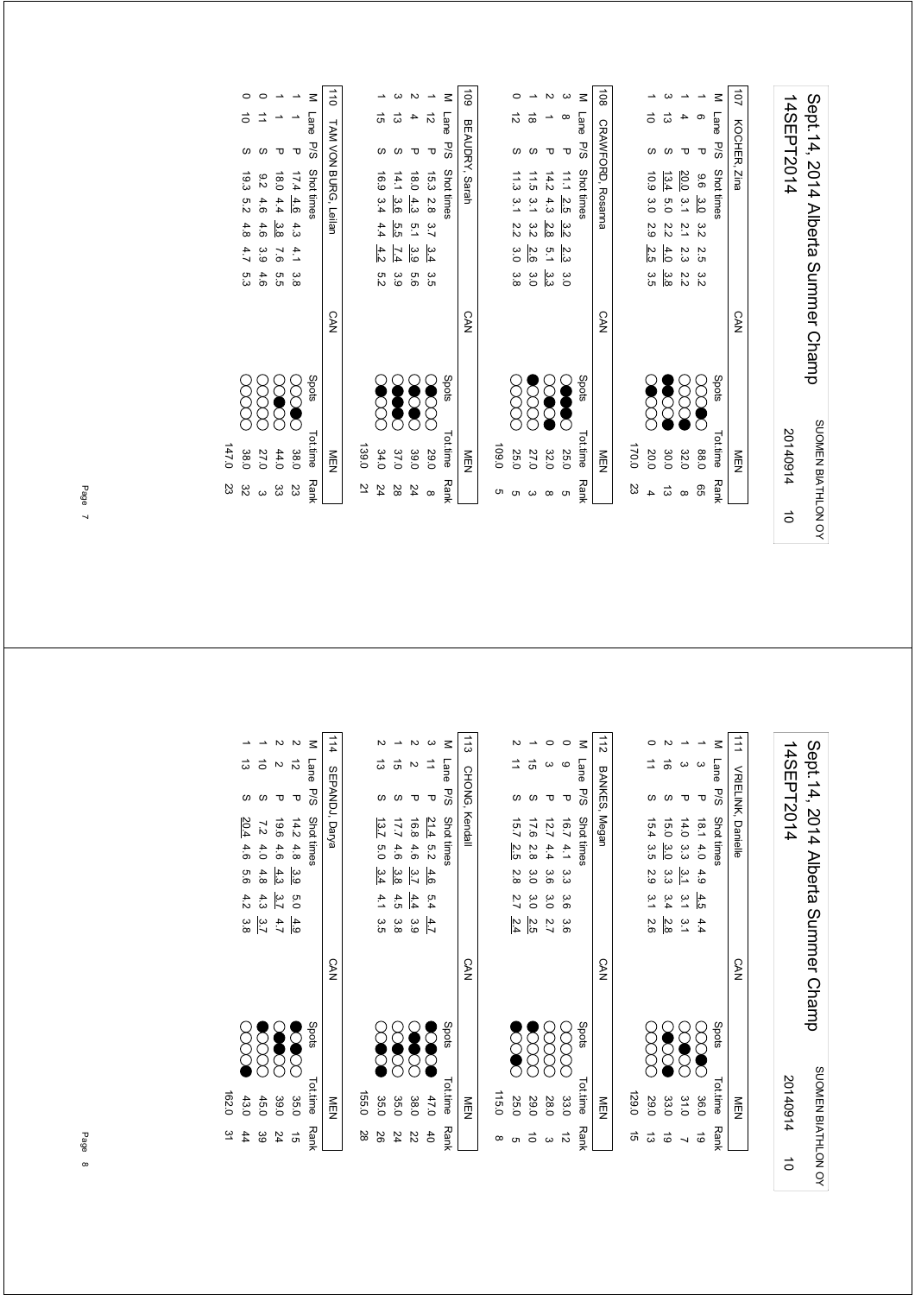| 14SEPT2014 | Sept.14, 2014 Alberta Summer Champ |
|------------|------------------------------------|
| 20140914   | SUOMEN BIATHLON OY                 |
|            |                                    |

|                        |       |              |               |                  |         | $\leq$      |                  |
|------------------------|-------|--------------|---------------|------------------|---------|-------------|------------------|
|                        |       |              | ದ             |                  |         | Lane P/S    | 107 KOCHER, Zina |
|                        |       |              |               |                  |         |             |                  |
| 108 CRAN-LORD, Rosanna |       | 10.9 3.0 2.9 | 13.4          |                  |         | Shot times  |                  |
|                        |       |              | 5.0 2.2       |                  | 9.6 3.0 |             |                  |
|                        |       |              |               |                  | 32      |             |                  |
|                        |       | 2.5          | 4.0           | 20.0 3.1 2.1 2.3 | 2.5 3.2 |             |                  |
|                        |       | ပ္ပ<br>၁     | ဖွဲ           | 2.2              |         |             |                  |
| <b>CAN</b>             |       |              |               |                  |         |             | <b>CAN</b>       |
|                        |       |              |               |                  |         |             |                  |
|                        |       | <b>SSS</b>   | <b>Second</b> | 8<br>8           | 8       | Spots       |                  |
|                        |       |              |               |                  |         |             |                  |
| NEN                    | 170.0 | 20.0         | 30.0          | 32.0             | 88.0    | Tot.time    | MEN              |
|                        | 23    |              | ದ             |                  | 99      | <b>Rank</b> |                  |

|       |          |                  |               |          | ⋜          | 60L            |       |              |              |                         | ω               | ⋜          | $\overline{5}$    |
|-------|----------|------------------|---------------|----------|------------|----------------|-------|--------------|--------------|-------------------------|-----------------|------------|-------------------|
|       | ಕ        | ದ                |               | ಸ        | Lane       |                |       | ಸ            | ಹ            |                         |                 | Lane       |                   |
|       |          |                  |               | ᠊ᠣ       | <b>P/S</b> | BEAUDRY, Sarah |       |              |              |                         | ᠊ᠣ              | ਨ<br>ਨ     | CRAWFORD, Rosanna |
|       | 16.9 3.4 | 14.1             | 0.81          | 15.3 2.8 | Shot times |                |       | 11.3 3.1 2.2 | 11.5         | 14.2                    | $\frac{11}{11}$ | Shot times |                   |
|       |          | 3.6              | 4.3           |          |            |                |       |              | ت            | 4.3                     | 2.5             |            |                   |
|       | 4.4      | 5.5              | $\frac{5}{2}$ | 3.7      |            |                |       |              | 3.2          | 2.8                     | 3.2             |            |                   |
|       | 4.2      | $\overline{7.4}$ | .<br>3.9      | 3.4      |            |                |       | 3.0 3.8      |              | $\frac{21}{10}$ in 2.10 |                 |            |                   |
|       | n<br>Si  | ვ<br>მ           | 9.6           | 3.5      |            |                |       |              | ယ္က<br>ကို ၀ |                         | ပ္ပ             |            |                   |
|       |          |                  |               |          |            | <b>CAN</b>     |       |              |              |                         |                 |            | CAN               |
|       |          |                  |               |          | Spots      |                |       |              |              |                         |                 | Spots      |                   |
| 139.0 | 34.0     | 37.0             | 39.0          | 29.0     | Tot.time   | MEN            | 0.901 | 25.0         | 27.0         | 32.0                    | 25.0            | ot.time    | MEN               |
| ž     | 24       | 28               | 24            | $\infty$ | Rank       |                |       |              |              |                         | cл              | Rank       |                   |

|                      |        |                    |                           |                 | $\vec{a}$            |                |           |               |                |                       |
|----------------------|--------|--------------------|---------------------------|-----------------|----------------------|----------------|-----------|---------------|----------------|-----------------------|
| $\vec{0}$            |        |                    |                           | Lane P/S        |                      |                | ದ         | ದ             |                | ನ                     |
|                      |        |                    |                           |                 |                      |                |           |               |                |                       |
| 19.3 5.2 4.8 4.7 5.3 | 9.24.6 | 6.0                | 17.440                    | Shot times      | TAM VON BURG, Leilan |                | 16.9 3.4  | 14.13.6       | 0.81           | 15.3 2.8              |
|                      |        | 4.4                |                           |                 |                      |                |           |               | 4.3            |                       |
|                      | 4.6    | 3.8                | 4.3                       |                 |                      |                | 4.4       | 5.5           | $\overline{5}$ | $\frac{2}{3}$         |
|                      | 3.9    | 7.6                | 4.1                       |                 |                      |                | 4.2       | 7.4           | 3.9            | $\frac{3.4}{3.5}$ 3.5 |
|                      | 4.6    | 5.5                | 3.8                       |                 |                      |                | 5.2       | ပ<br>စ        | 9.5            |                       |
|                      |        |                    |                           |                 | <b>CAN</b>           |                |           |               |                |                       |
|                      |        | $\bm{\mathcal{S}}$ | $\widetilde{\mathcal{E}}$ | Spots           |                      |                | <b>OO</b> | <b>Second</b> | <b>SOOC</b>    | <b>CONCR</b>          |
| 38.0                 | 27.0   | 44.0               | 38.0                      | <b>Tot.time</b> | NEN                  | 139.0          | 34.0      | 37.0          | 39.0           | 062                   |
| 32                   |        | ပ္ပ                | ΩS                        | <b>Rank</b>     |                      | $\overline{2}$ | 24        | 28            | 24             | $\infty$              |

0 19.3 5.2 4.8 4.7 5.3 (XXX) 38.0 32  $\vec{0}$  $\omega$ 19.3 5.2 4.8 4.7 5.3  $\frac{300}{147.0}$  23 147.0 23

> 14SEPT2014 Sept. 14, 2014 Alberta Summer Champ Sept.14, 2014 Alberta Summer Champ 14SEPT2014 SUOMEN BIATHLON OY SUOMEN BIATHLON OY 201409145

|         | $\vdots$      |             | $\vdots$   |                      |                                      |          | $\vdots$<br>$\vdots$<br>$\vdots$<br>$\vdots$ | $\vdots$      |
|---------|---------------|-------------|------------|----------------------|--------------------------------------|----------|----------------------------------------------|---------------|
|         |               |             |            |                      |                                      |          |                                              |               |
| al<br>G | 129.0         |             |            |                      |                                      |          |                                              |               |
| ದ       | 29.0          | 8<br>8      |            | 15.4 3.5 2.9 3.1 2.6 |                                      |          |                                              |               |
| ಠ       | 33.0          | <b>SOC</b>  |            | 3.3 3.4 2.8          |                                      | 15.0 3.0 |                                              |               |
|         | 31.0          |             |            |                      | $14.0$ 3.3 $\frac{3.1}{3.1}$ 3.1 3.1 |          |                                              |               |
| 6       | 36.0          | <b>SSSS</b> |            |                      | 18.1 4.0 4.9 4.5 4.4                 |          | τ                                            |               |
|         | Tot.time Rank | spots       |            |                      |                                      |          | M Lane P/S Shot times                        |               |
|         | NEN           |             | <b>CAN</b> |                      |                                      |          | VRIELINK, Danielle                           | $\frac{1}{2}$ |
|         |               |             |            |                      |                                      |          |                                              |               |

|       |                  |                       |                      |                      |                     | $\frac{1}{5}$ |
|-------|------------------|-----------------------|----------------------|----------------------|---------------------|---------------|
|       |                  |                       |                      | C                    |                     |               |
|       |                  |                       |                      | ᠊ᠣ                   | Lane P/S Shot times | BANKES, Megan |
|       |                  |                       |                      |                      |                     |               |
|       | 15.7 2.5 2.8 2.7 | 17.6 2.8 3.0 3.0      | 12.7 4.4 3.6 3.0 2.7 | 16.7 4.1 3.3 3.6 3.6 |                     |               |
|       |                  |                       |                      |                      |                     |               |
|       |                  |                       |                      |                      |                     |               |
|       | $\frac{2.4}{4}$  | 2.5                   |                      |                      |                     |               |
|       |                  |                       |                      |                      |                     | <b>CAN</b>    |
|       | Š                | $\sum_{i=1}^{\infty}$ | xxx                  |                      | Spots               |               |
| 115.0 | 25.0             | 29.0                  | 28.0                 | 33.0                 | Tot.time Rank       | NEN           |
|       |                  |                       |                      |                      |                     |               |

| 1113   |      |        | CHONG, Kendall       |  |     |     | <b>CAN</b> |            | NEN           |             |
|--------|------|--------|----------------------|--|-----|-----|------------|------------|---------------|-------------|
| $\leq$ | Lane | $-5/5$ | Shot times           |  |     |     |            | Spots      | Tot.time Rank |             |
|        |      | τ      | 21.4 5.2 4.6         |  | 5.4 | 4.7 |            | S          | 47.0          | $rac{4}{5}$ |
|        |      | τ      | 16.8 4.6 3.7         |  | 4.4 | 3.9 |            | $\infty$   | 38.0          | Z2          |
|        | G)   |        | 17.7 4.6 3.8         |  | 4.5 | မ္မ |            | <b>SCC</b> | 35.0          | 24          |
|        | ದ    |        | 13.7 5.0 3.4 4.1 3.5 |  |     |     |            | Š          | 35.0          | 92          |
|        |      |        |                      |  |     |     |            |            | 155.0         | 28          |
|        |      |        |                      |  |     |     |            |            |               |             |

|       |                         |                                                 |                               |               | $\leq$      | 114            |
|-------|-------------------------|-------------------------------------------------|-------------------------------|---------------|-------------|----------------|
|       | ಹ                       | $\vec{0}$                                       |                               | ನ             | Lane        |                |
|       |                         |                                                 | τ                             | ᠊ᠣ            | P/S         |                |
|       | 20.4                    | 7.2                                             | $14.2$ 4.8 $\frac{3.9}{19.6}$ |               | Shot times  | SEPANDJ, Darya |
|       | 4.6                     | 4.0                                             |                               |               |             |                |
|       | თ<br>მ                  | 4.8                                             |                               |               |             |                |
|       |                         | $4.3$ $3.2$<br>$4.2$ $3.8$<br>$\frac{3.7}{3.3}$ |                               | 5.0           |             |                |
|       |                         |                                                 | 4.7                           | $rac{4.9}{6}$ |             |                |
|       |                         |                                                 |                               |               |             | <b>CAN</b>     |
|       | $\sum\limits_{i=1}^{n}$ |                                                 |                               |               | Spots       |                |
| 162.0 | 43.0                    | 45.0                                            | 39.0                          | 35.0          | Tot.time    | wEN            |
| 31    | 44                      | 39                                              | 24                            | g)            | <b>Rank</b> |                |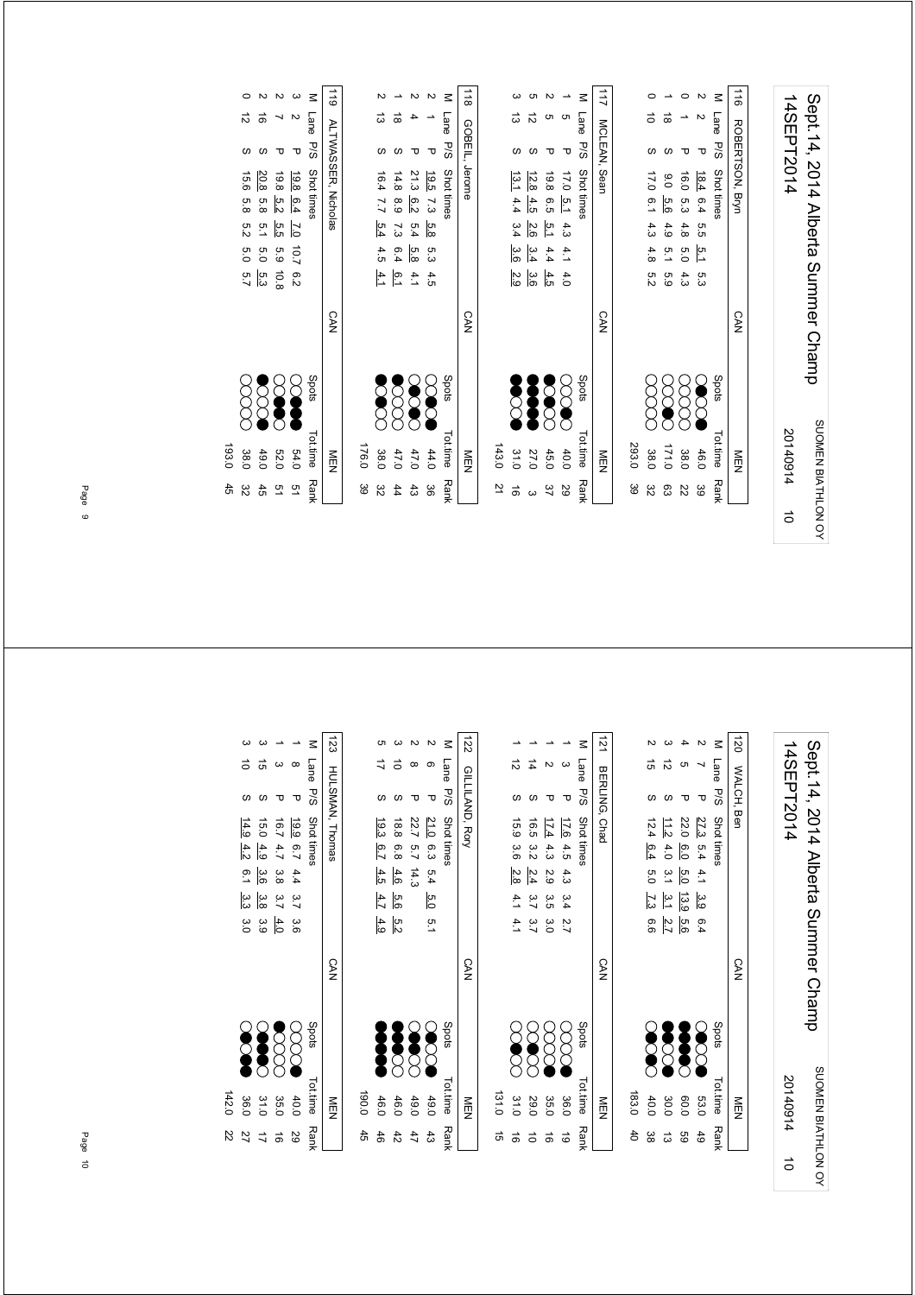| 14SEPT2014 | Sept. 14, 2014 Alberta Summer Channo |
|------------|--------------------------------------|
| 20140914   | SUOMEN BIATHLON OY                   |
| $\vec{0}$  |                                      |

|             | NEN      |           | <b>CAN</b> |        |          |     |              |            | MCLEAN, Sean    |   | $\overline{11}$ |
|-------------|----------|-----------|------------|--------|----------|-----|--------------|------------|-----------------|---|-----------------|
| ဖွ          | 293.0    |           |            |        |          |     |              |            |                 |   |                 |
| gδ          | 38.0     |           |            |        | 4.8 5.2  |     | 17.0 6.1 4.3 |            |                 |   |                 |
| င္ပာ        | 171.0    | <b>SS</b> |            | 6 g    | ia<br>T  | 4.9 | 9.0 5.6      |            |                 | ಹ |                 |
| 22          | 38.0     | 8         |            | 4.3    | 0°       |     | 16.0 5.3 4.8 |            |                 |   |                 |
| 39          | 46.0     | <b>S</b>  |            | ო<br>ვ | ia<br>La |     | 18.4 6.4 5.5 |            | ᠊ᠣ              |   |                 |
| <b>Rank</b> | Tot.time | Spots     |            |        |          |     |              | Shot times | Lane P/S        |   | Μ               |
|             | NEN<br>D |           | <b>CAN</b> |        |          |     |              |            | ROBERTSON, Bryn |   | $\vec{a}$       |

|    | Tot.time Rank | Spots         |            |     |     |         |                 | M Lane P/S Shot times |    |        |
|----|---------------|---------------|------------|-----|-----|---------|-----------------|-----------------------|----|--------|
|    | NEN<br>D      |               | <b>CAN</b> |     |     |         |                 | 118 GOBEIL, Jerome    |    |        |
|    |               |               |            |     |     |         |                 |                       |    |        |
| ž  | 143.0         |               |            |     |     |         |                 |                       |    |        |
| ಹೆ | 31.0          | <b>Second</b> |            | 2.9 |     |         | 13.14.43.34.3.6 |                       | ಹೆ |        |
|    | 27.0          | <b>Second</b> |            | 3.6 |     | 2.6 3.4 | 12.84.5         |                       | ನ  |        |
| 37 | 45.0          | <b>Second</b> |            | 4.5 | 4.4 |         | 19.8 6.5 5.1    |                       |    |        |
| 67 | 40.0          | 880<br>2      |            |     |     |         |                 |                       |    |        |
|    | Tot.time Rank | <b>Spots</b>  |            |     |     |         |                 | Lane P/S Shot times   |    | $\leq$ |
|    | NEN           |               | <b>CAN</b> |     |     |         |                 | MCLEAN, Sean          |    | 211    |

| $R_{L}$ |   | GUBEIL, Jerome                | V<br>NM |                | NEN           |            |
|---------|---|-------------------------------|---------|----------------|---------------|------------|
| $\leq$  |   | Lane P/S Shot times           |         | Spots          | Tot.time Rank |            |
|         |   | 19.5 7.3<br>5.8<br>5.34.5     |         | <b>SO</b>      | 44.0          | 98         |
|         |   | 21.3 6.2<br>5.4<br>5.8<br>4.1 |         | <b>SOC</b>     | 47.0          | $\ddot{3}$ |
|         | S | 14.8 8.9 7.3 6.4<br>6.1       |         | <b>SSS</b>     | 47.0          | 44         |
|         | S | 16.4 7.7 5.4 4.5<br>4.1       |         | <b>Section</b> | 38.0          | 82         |
|         |   |                               |         |                | 176.0         | 39         |
|         |   |                               |         |                |               |            |

| 119 ALTWASSER, Nicholas | M Lane         |              |          |            | n<br>2               |
|-------------------------|----------------|--------------|----------|------------|----------------------|
|                         |                | ᠊ᠣ           |          |            | S                    |
|                         | P/S Shot times |              |          |            |                      |
|                         |                | 19.8 6.4 7.0 | 19.8 5.2 | 20.8 5.8   | 15.6 5.8 5.2 5.0 5.7 |
|                         |                |              | .<br>ლ   | 5.1        |                      |
|                         |                | 10.7 6.2     | 5.9 10.8 | 5.0        |                      |
|                         |                |              |          | ო<br>ვ     |                      |
| <b>CAN</b>              |                |              |          |            |                      |
|                         | Spots          |              | 888      |            | XXX                  |
| ≧□                      | Tot.time       | 54.0         | 52.0     | 49.0       | 38.0                 |
|                         | Rά             | <u>ო</u>     | ςT       | $\ddot{5}$ | ္လ                   |

P/S Shot times  $\sim$  Spots Tot.time Rank 193.0 45 193.0 45  $\begin{array}{c} 4.5 \\ 3.2 \end{array}$ ا ق

> Sept.14, 2014 Alberta Summer Champ<br>14SEPT2014 Sept.14, 2014 Alberta Summer Champ 14SEPT2014 SUOMEN BIATHLON OY SUOMEN BIATHLON OY 201409145

| $\overline{20}$ |      | WALCH, Ben |                                                                                                    | <b>CAN</b> |             | トリア      |
|-----------------|------|------------|----------------------------------------------------------------------------------------------------|------------|-------------|----------|
|                 | Lane | 5/5        | Shot times                                                                                         |            | Spots       | Tot.time |
|                 |      |            | 6.4                                                                                                |            |             | 53.0     |
|                 |      |            | $\frac{27.3}{22.0}$<br>$\frac{3}{2}$ 5.4 4.1 $\frac{3.9}{13.9}$<br>0 6.0 5.0 13.9<br>2 4.0 3.1 3.1 |            | 8888        | 0.09     |
|                 | ನ    |            | $\frac{11.2}{12.4}$<br>$(2, 4, 0)$ .<br>5.6<br>2.7                                                 |            |             |          |
|                 | a)   |            | 6.4<br>$\sim 5.0$<br>$\overline{13}$<br>9.6                                                        |            | <b>SOCC</b> | 30.0     |
|                 |      |            |                                                                                                    |            |             | 183.0    |

|       |                |                 |                  |                       |             | $\frac{1}{2}$ |
|-------|----------------|-----------------|------------------|-----------------------|-------------|---------------|
|       | ಸ              |                 |                  |                       | Lane P/S    |               |
|       |                |                 |                  |                       |             | BERLING, Chad |
|       | 15.9 3.6       | 16.5 3.2        | $\frac{17.4}{ }$ | 17.6 4.5              | Shot times  |               |
|       |                |                 | 4.3              |                       |             |               |
|       | $\frac{28}{8}$ | $\frac{2.4}{4}$ | 59               | 4.3 3.4 2.7           |             |               |
|       | $4.1$ $4.1$    | 3.7 3.7         | ς<br>Θ           |                       |             |               |
|       |                |                 | $\frac{3}{2}$    |                       |             |               |
|       |                |                 |                  |                       |             | CAN           |
|       | <b>SCC</b>     | <b>SC</b>       | 88               | $\overleftarrow{\xi}$ | Spots       |               |
| 131.0 | 31.0           | 29.0            | 35.0             | 36.0                  | Tot.time    | ミロ            |
|       |                |                 | ಕ                | ಠ                     | <b>Rank</b> |               |

| 45         | 190.0         |                |            |     |        |         |                  |                     |           |        |
|------------|---------------|----------------|------------|-----|--------|---------|------------------|---------------------|-----------|--------|
| 46         | 46.0          | Į              |            | 4.9 | $-4.7$ |         | 19.3 6.7 4.5     |                     | $\vec{=}$ |        |
| 42         | 46.0          | <b>Section</b> |            | 5.2 |        | 4.6 5.6 | 18.8 6.8         | ળ                   |           |        |
| 47         | 49.0          | Sooc           |            |     |        |         | 22.7 5.7 14.3    |                     | $\infty$  |        |
| $\ddot{3}$ | 49.0          | SOO            |            | 5.1 |        |         | 21.0 6.3 5.4 5.0 | ᠊ᠣ                  | ග         |        |
|            | Tot.time Rank | Spots          |            |     |        |         |                  | Lane P/S Shot times |           | $\leq$ |
|            | MEZ           |                | <b>CAN</b> |     |        |         |                  | 122 GILLLAND, Rory  |           |        |

|       |          |            |                |                  | $\leq$      | 123             |
|-------|----------|------------|----------------|------------------|-------------|-----------------|
|       |          | ă          |                |                  | Lane        |                 |
|       |          |            | τ              | Δ                | P/S         | HULSMAN, Thomas |
|       | 14.94.2  | 15.0       | 16.7           |                  | Shot times  |                 |
|       |          | 4.9        |                |                  |             |                 |
|       | 6.1      | 3.6        | 4.7 3.8 3.7    | 19.9 6.7 4.4 3.7 |             |                 |
|       | ပ္က<br>အ |            |                |                  |             |                 |
|       | e<br>Θ   | 3.9        | $\frac{4}{10}$ | ာ<br>၁၉          |             |                 |
|       |          |            |                |                  |             | <b>CAN</b>      |
|       |          | <b>SSS</b> |                | 88               | Spots       |                 |
|       |          |            |                |                  | Tot.time    |                 |
| 142.0 | 36.0     | 31.0       | 35.0           | 40.0             |             | MEN             |
| Z2    |          |            | ಹೆ             | 29               | <b>Rank</b> |                 |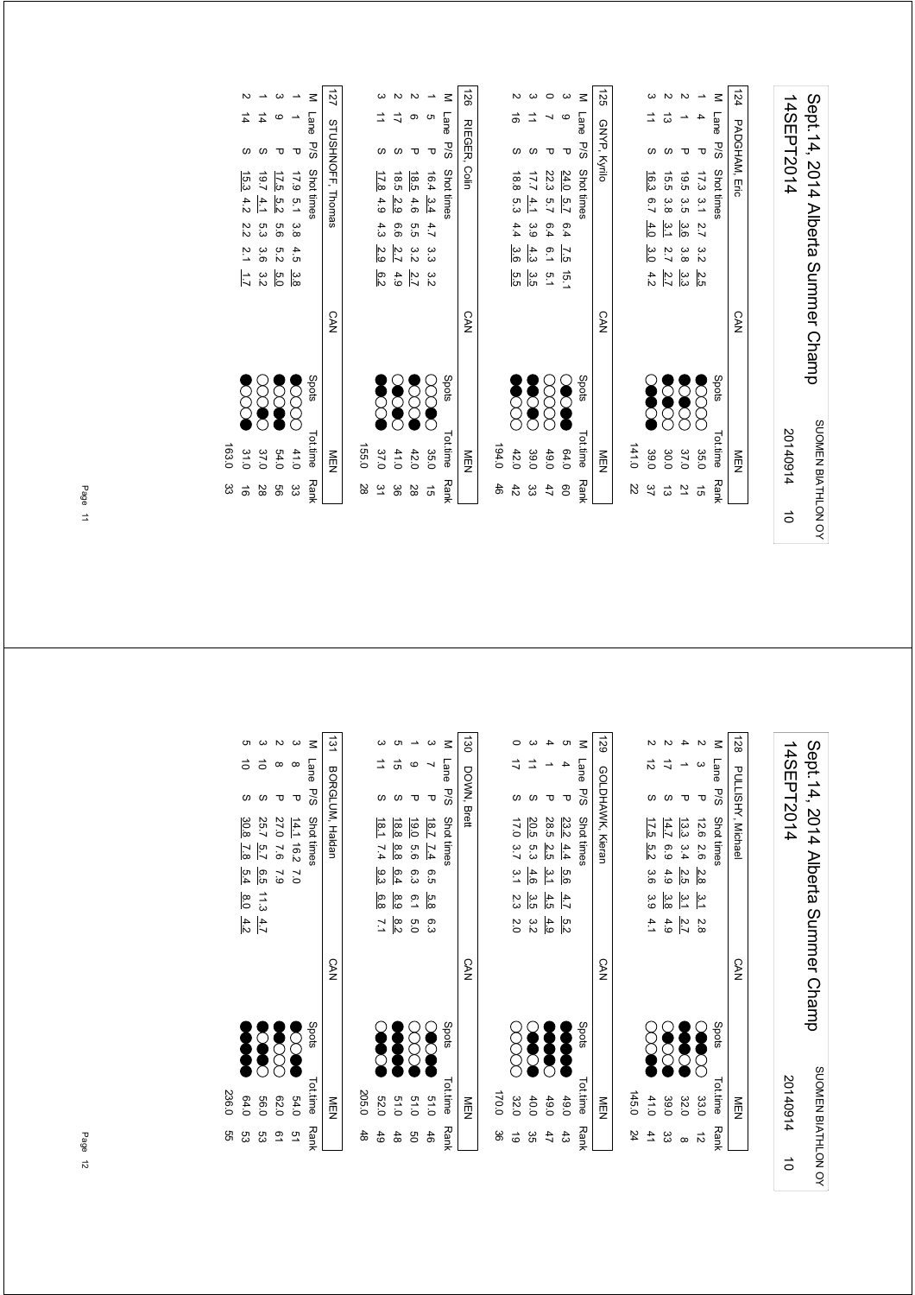| 14SEPT2014 | Sept. 14, 2014 Alberta Summer Champ |
|------------|-------------------------------------|
| 20140914   | SUOMEN BIATHLON OY                  |
| ਠੇ         |                                     |

|      | NEN                  | <b>CAN</b> |     |                  |                |               | 125 GNYP, Kyrilo |          |      |
|------|----------------------|------------|-----|------------------|----------------|---------------|------------------|----------|------|
| 22   | 141.0                |            |     |                  |                |               |                  |          |      |
|      |                      |            |     | မိပ              |                |               |                  |          |      |
| 37   | Š<br>39.0            |            | 4.2 |                  | 4.0            | 16.3 6.7      |                  |          |      |
| ಹ    | <b>POOCC</b><br>30.0 |            | 2.7 | $\overline{2.7}$ | $\frac{31}{1}$ | 15.5 3.8      |                  | ದ        |      |
| 21   | <b>Seco</b><br>37.0  |            | ပ္ပ | 3.8              | 3.6            | 19.5 3.5      |                  |          |      |
| G)   | coo<br>35.0          |            | 2.5 | ς<br>Σ           |                | 17.3 3.1 2.7  | ᠊ᠣ               |          |      |
| Rank | Spots<br>Tottime     |            |     |                  |                | Shot times    |                  | Lane P/S |      |
|      | NEN                  | <b>CAN</b> |     |                  |                | PADGHAM, Eric |                  |          | 1124 |
|      |                      |            |     |                  |                |               |                  |          |      |

| 125                   |                       | GNYP, Kyrilo         |                            |  |  | <b>CAN</b> |               | NEN           |     |
|-----------------------|-----------------------|----------------------|----------------------------|--|--|------------|---------------|---------------|-----|
| $\leq$                |                       |                      | Lane P/S Shot times        |  |  |            | Spots         | Tot.time Rank |     |
|                       | G                     | π                    | 24.0 5.7 6.4 7.5 15.1      |  |  |            | E             | 64.0          | 80  |
|                       |                       |                      | 22.3 5.7 6.4 6.1 5.1       |  |  |            | 8<br>8        | 49.0          | 47  |
|                       |                       |                      | $17.7$ $4.1$ 3.9 $4.3$ 3.5 |  |  |            | <b>Second</b> | 39.0          | ယ္လ |
|                       | ə                     |                      | 18.8 5.3 4.4 3.6 5.5       |  |  |            | <b>Second</b> | 42.0          | 42  |
|                       |                       |                      |                            |  |  |            |               | 194.0         | 46  |
| $\overrightarrow{26}$ |                       | <b>RIEGER, Colin</b> |                            |  |  | <b>CAN</b> |               | M⊟N           |     |
|                       | M Lane P/S Shot times |                      |                            |  |  |            | Spots         | Tot.time Rank |     |

| 28        | 155.0       |                       |        |     |     |                         |   |                      |   |
|-----------|-------------|-----------------------|--------|-----|-----|-------------------------|---|----------------------|---|
| $\approx$ | 37.0        |                       | დ<br>ს | 2.9 | 4.3 | 17.8<br>4.9             |   | $\overrightarrow{=}$ |   |
| ပ္ပ       | 41.0        | <b>88888</b><br>88888 | 4.9    | 2.7 | 6.6 | 18.5<br>$\frac{2.9}{2}$ |   | ₹                    | Z |
| 8         | 42.0        |                       | 2.7    | 32  | 5.5 | 18.5<br>4.6             |   |                      |   |
| $\vec{5}$ | 35.0        |                       |        |     |     | 16.4 3.4 4.7 3.3 3.2    | τ | <b>ຕ</b>             |   |
|           | Tottime Ran | <b>Spots</b>          |        |     |     | M Lane P/S Shot times   |   |                      |   |
|           |             |                       |        |     |     |                         |   |                      |   |

|       |                 |                  |                | ᠊ᠣ                   |                       |                       |
|-------|-----------------|------------------|----------------|----------------------|-----------------------|-----------------------|
|       | 15.34.2         | 19.74.1          | 17.5           |                      | M Lane P/S Shot times | 127 STUSHNOFF, Thomas |
|       |                 |                  | $\frac{5}{2}$  |                      |                       |                       |
|       | $2.2$ 2.1 $1.7$ |                  |                | 17.9 5.1 3.8 4.5 3.8 |                       |                       |
|       |                 | 5.3 3.6          | 5.6 5.2        |                      |                       |                       |
|       |                 | α<br>Μ           | $\overline{5}$ |                      |                       |                       |
|       |                 |                  |                |                      |                       | <b>CAN</b>            |
|       | <b>SSS</b>      | $\sum_{i=1}^{n}$ | S              | $\delta$             | Spots                 |                       |
| 163.0 | 31.0            | 37.0             | 54.0           | 41.0                 | Tot.time              | ≧型                    |
| జ     |                 | 28               | 99             | ς                    | <b>Rank</b>           |                       |

| 14SEPT2014 | Sept. 14, 2014 Alberta Summer Champ |
|------------|-------------------------------------|
| 20140914   | SUOMEN BIATHLON OV                  |
| $\vec{0}$  |                                     |

| $\overrightarrow{28}$   |              |              |                      |                     |                      |       |
|-------------------------|--------------|--------------|----------------------|---------------------|----------------------|-------|
|                         | M Lane       |              |                      | ₹                   | $\vec{5}$            |       |
| <b>PULLISHY, Michae</b> | 9vs          |              |                      |                     |                      |       |
|                         | Shot times   |              |                      | $\frac{13.3}{14.7}$ | 17.5                 |       |
|                         |              | 12.6 2.6 2.8 | $3.4$ 2.5<br>6.9 4.9 |                     | ლ<br>ს               |       |
|                         |              |              |                      |                     | 3.6                  |       |
|                         |              | ن<br>دا      |                      | $\frac{3}{3}$       | 3.9                  |       |
|                         |              | 2.8          |                      | $\frac{2.7}{4.9}$   | 4.1                  |       |
| CAN                     |              |              |                      |                     |                      |       |
|                         | <b>Spots</b> |              | 888<br>888           |                     | $\breve{\mathrm{Q}}$ |       |
| ≦<br>⊡                  | Tot.time     | 33.0         | 32.0                 | 39.0                | 41.0                 | 145.0 |
|                         | Rank         |              |                      | జ                   |                      | 24    |
|                         |              |              |                      |                     |                      |       |

| 6Z1 | GOLDHAWK, Kieran |      |                  |                |      |               | <b>CAN</b> |              | 一        |             |
|-----|------------------|------|------------------|----------------|------|---------------|------------|--------------|----------|-------------|
|     | Lane P/S         |      | Shot times       |                |      |               |            | <b>Spots</b> | Tot.time | <b>Rank</b> |
|     |                  | 23.2 | $4.4$ 5.6        |                | 4.7  | ra<br>N       |            |              | 49.6     |             |
|     |                  | 28.5 | 2.5              | $\frac{31}{4}$ | 4.5  | 4.9           |            |              | 49.0     |             |
|     |                  | 20.5 | ო<br>ვ           | 4.6            | ပ္ပံ | α<br>Σ        |            |              | 40.0     |             |
|     |                  |      | 17.0 3.7 3.1 2.3 |                |      | $\frac{5}{2}$ |            | 8<br>8       | 32.0     |             |
|     |                  |      |                  |                |      |               |            |              | 170.0    |             |
|     |                  |      |                  |                |      |               |            |              |          |             |

|       |                |           |        |                 | Σ             | <b>130</b>  |
|-------|----------------|-----------|--------|-----------------|---------------|-------------|
|       |                | ಕ         |        |                 | Lane<br>P/S   |             |
|       |                |           |        | ᠊ᠣ              |               | DOWN, Brett |
|       | $18.1$ 7.4     | 18.8      | 19.0   | 18.7            | Shot times    |             |
|       |                | 8.8       | 9.9    | $\overline{14}$ |               |             |
|       | .<br>მ:3       | 6.4       | 6.3    | 9.5             |               |             |
|       | 6.8            | ဖို့      | 6.15.0 | .<br>თ<br>მ     |               |             |
|       | $\overline{7}$ | ¦∞<br>i∕i |        | ო<br>ვ          |               |             |
|       |                |           |        |                 |               | <b>CAN</b>  |
|       | <b>SOL</b>     |           | 88     | E               | Spots         |             |
| 205.0 | <b>52.0</b>    | 0.15      | 0.15   | 51.0            | Tot.time Rank | 貢           |
| 48    | 49             | 48        | g      | 46              |               |             |

|       |                   |                |              |               | $\leq$      | $\vec{5}$             |
|-------|-------------------|----------------|--------------|---------------|-------------|-----------------------|
|       |                   |                |              |               | Lane P/S    |                       |
|       |                   |                |              | ᠊ᠣ            |             |                       |
|       | 30.8              | 25.7 5.7       | 27.0 7.6 7.9 | 14.1 16.2 7.0 | Shot times  | <b>BORGLUM, Hadan</b> |
|       | $\frac{7.8}{1.8}$ |                |              |               |             |                       |
|       | 5.4 8.0 4.2       | $6.5$ 11.3 4.7 |              |               |             |                       |
|       |                   |                |              |               |             |                       |
|       |                   |                |              |               |             |                       |
|       |                   |                |              |               |             | <b>CAN</b>            |
|       | Š                 | <b>DOOD</b>    | XXX          | S             | Spots       |                       |
| 236.0 | 64.0              | 0.65           | 62.0         | 54.0          | Tot.time    | ≦<br>⊡                |
| 9g    | ပ္ပ               | ပ္ပ            | ഉ            | 9             | <b>Rank</b> |                       |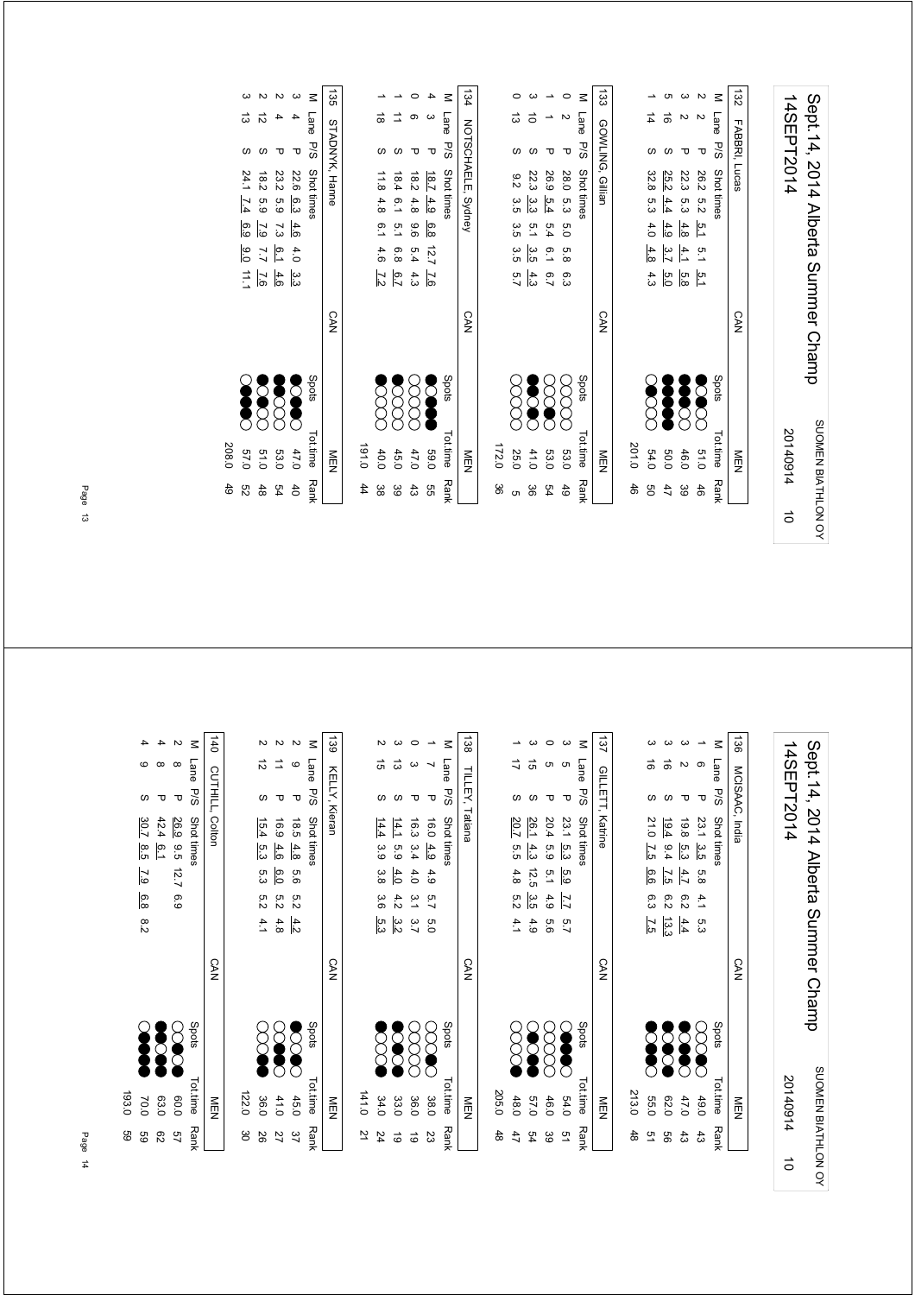| 14SEPT2014 | Sept. 14, 2014 Alberta Summer Channo |
|------------|--------------------------------------|
| 20140914   | SUOMEN BIATHLON OV                   |
| $\vec{0}$  |                                      |

|             | NEN                  | <b>CAN</b> | 133 GOWLING, Gillian                                                                                          |                 |
|-------------|----------------------|------------|---------------------------------------------------------------------------------------------------------------|-----------------|
|             |                      |            |                                                                                                               |                 |
| 46          | 201.0                |            |                                                                                                               |                 |
| 9g          | <b>SCCC</b><br>54.0  |            | 32.8 5.3<br>4.0<br>4.8                                                                                        |                 |
| 47          | 0.06                 |            | ಕ<br>25.2<br>$-4.4$<br>4.9<br>$\frac{3.7}{2}$                                                                 |                 |
| ဖိ          | 46.0                 |            | 22.3 5.3<br>4.8<br>4.1<br>$\frac{5}{1}$ $\frac{5}{1}$ $\frac{6}{1}$ $\frac{1}{1}$ $\frac{1}{2}$ $\frac{1}{3}$ |                 |
| 46          | <b>Second</b><br>010 |            | τ<br>26.2 5.2<br>$\frac{5}{2}$<br>$-5.1$                                                                      |                 |
| <b>Rank</b> | Tot.time             | Spots      | Lane<br>P/S<br>Shot times                                                                                     | $\leq$          |
|             | NEN                  | <b>CAN</b> | FABBRI, Lucas                                                                                                 | $\overline{32}$ |
|             |                      |            |                                                                                                               |                 |

|     | Tot time<br>Rank | Shots        |            |     |  | M I and PSS Shottimes  |                      |    |        |
|-----|------------------|--------------|------------|-----|--|------------------------|----------------------|----|--------|
|     | NEN<br>D         |              | <b>CAN</b> |     |  | 134 NOTSCHAELE, Sydney |                      |    |        |
|     |                  |              |            |     |  |                        |                      |    |        |
| 8   | 172.0            |              |            |     |  |                        |                      |    |        |
|     | 25.0             | 8<br>8       |            |     |  | 9.2 3.5 3.5 3.5 5.7    |                      | ಹೆ |        |
| မ္တ | 41.0             | <b>SC</b>    |            | 4.3 |  | 22.3 3.3 5.1 3.5       |                      |    |        |
| 54  | 53.0             | <b>SOO</b>   |            |     |  | 26.9 5.4 5.4 6.1 6.7   |                      |    |        |
| 49  | 53.0             | E            |            |     |  | 28.0 5.3 5.0 5.8 6.3   |                      |    |        |
|     | Tot.time Rank    | <b>Spots</b> |            |     |  | Lane P/S Shot times    |                      |    | $\leq$ |
|     | NEN              |              | <b>CAN</b> |     |  |                        | 133 GOVLING, Gillian |    |        |
|     |                  |              |            |     |  |                        |                      |    |        |

|                                  |                                                                                                             | N            | ω             | $\leq$          | 135            |         |           |                  |                                                | 4                   | Σ          | $\overline{5}$    |
|----------------------------------|-------------------------------------------------------------------------------------------------------------|--------------|---------------|-----------------|----------------|---------|-----------|------------------|------------------------------------------------|---------------------|------------|-------------------|
| ದ                                | 12                                                                                                          |              |               | Lane P/S        |                |         | $\vec{0}$ |                  | တ                                              |                     | Lane       |                   |
|                                  |                                                                                                             | Δ            | Δ             |                 |                |         |           |                  | ᠊ᠣ                                             | τ                   | <b>P/S</b> |                   |
|                                  | $\begin{array}{r} 22.6 & 6.3 & 4.6 \\ 23.2 & 5.9 & 7.3 \\ 18.2 & 5.9 & 7.9 \\ 24.1 & 7.4 & 6.9 \end{array}$ |              |               | Shot times      | STADNYK, Hanne |         | 11.8      | 18.4             |                                                | $\frac{18.7}{18.2}$ | Shot times | ואט וטטו וארו ואט |
|                                  |                                                                                                             |              |               |                 |                |         | 4.8       | 6.1              | $\begin{array}{r} 4.9 \\ 4.9 \end{array}$      |                     |            |                   |
|                                  |                                                                                                             |              |               |                 |                |         |           | 5. T<br>6. T     | 6<br>8.8                                       |                     |            |                   |
|                                  | $rac{6}{5}$ $rac{1}{5}$ $rac{1}{5}$ $rac{9}{5}$                                                             |              |               |                 |                |         |           | $6.8$<br>$4.6$   | $12.7$<br>5.7                                  |                     |            |                   |
|                                  | $rac{3}{3}$ $rac{4}{3}$ $rac{6}{6}$ $rac{1}{3}$ $rac{7}{4}$                                                 |              |               |                 |                |         |           |                  | $\frac{7.6}{4.3}$ $\frac{6}{7}$ $\frac{7}{12}$ |                     |            |                   |
|                                  |                                                                                                             |              |               |                 | <b>CAN</b>     |         |           |                  |                                                |                     |            | י<br>געו          |
| <b>SOPIC</b>                     | <b>Second</b>                                                                                               | <b>SCOOL</b> | Š             | Spots           |                |         |           | $\sum_{i=1}^{n}$ |                                                | ○                   | Spots      |                   |
|                                  |                                                                                                             |              |               |                 |                |         |           |                  |                                                |                     |            |                   |
| 208.0<br>47.9<br>63.91.9<br>57.9 |                                                                                                             |              |               | <b>Tot.time</b> | MEN            | 0.191.0 | 40.0      |                  | 59.0<br>47.0<br>45.0                           |                     | ot.time    | NILLY             |
| 49<br>S2                         | $48$                                                                                                        | 54           | $\frac{4}{5}$ | <b>Rank</b>     |                | 44      | ဖွ        | 39               | $\frac{4}{3}$                                  | 95                  | Rank       |                   |
|                                  |                                                                                                             |              |               |                 |                |         |           |                  |                                                |                     |            |                   |

Page 13

| 3<br>Σ                 |                         |                      |                    |             |                                     |
|------------------------|-------------------------|----------------------|--------------------|-------------|-------------------------------------|
|                        |                         |                      |                    |             |                                     |
|                        | $\mathbf{\overline{v}}$ |                      |                    |             |                                     |
| P 19.8 5.3 4.7 6.2 4.4 | 23.1 3.5 5.8 4.1 5.3    | M I and PS Stottimes | 136 MCISAAC, India | 14SEPT2014  |                                     |
|                        |                         |                      |                    |             |                                     |
|                        |                         |                      |                    |             |                                     |
|                        |                         |                      |                    |             |                                     |
|                        |                         |                      | <b>CAN</b>         |             | Sept. 14, 2014 Alberta Summer Champ |
| <b>POID</b> 47.0 43    | SSS.                    | Spots Tot.time Rank  |                    |             |                                     |
|                        |                         |                      |                    |             |                                     |
|                        | 49.0                    |                      | NEN                | 20140914 10 |                                     |
|                        | 43                      |                      |                    |             |                                     |
|                        |                         |                      |                    |             | SUOMEN BIATHLON OY                  |

| M Lane PSS Shot times | 137 GILLETT, Katrine |       |               |                                                                                                                       |            |                  |
|-----------------------|----------------------|-------|---------------|-----------------------------------------------------------------------------------------------------------------------|------------|------------------|
|                       |                      |       | S             |                                                                                                                       | τ          |                  |
|                       |                      |       |               |                                                                                                                       | 19.8       |                  |
|                       |                      |       |               |                                                                                                                       |            |                  |
|                       |                      |       |               |                                                                                                                       |            | יים וייב היה היה |
|                       |                      |       |               |                                                                                                                       |            |                  |
|                       |                      |       |               | 19.8 $\frac{5.3}{9.4}$ $\frac{4.7}{1.5}$ 6.2 $\frac{4.4}{1.33}$<br>19.4 9.4 $\frac{7.5}{1.5}$ 6.2 $\frac{13.3}{13.2}$ |            |                  |
|                       | <b>CAN</b>           |       |               |                                                                                                                       |            |                  |
| Spots                 |                      |       | <b>Second</b> | <b>DOOD</b>                                                                                                           | 38         |                  |
|                       |                      |       |               |                                                                                                                       |            |                  |
| Tot.time Rank         | NEN                  | 213.0 | 039           | 62.0                                                                                                                  | 47.0       | בייה ביי         |
|                       |                      | 48    | 51            | 99                                                                                                                    | $\ddot{3}$ |                  |
|                       |                      |       |               |                                                                                                                       |            |                  |

| 137              | Σ                   |                 |                  |              |             |       |
|------------------|---------------------|-----------------|------------------|--------------|-------------|-------|
|                  | Lane P/S Shot times |                 |                  |              |             |       |
|                  |                     |                 |                  |              |             |       |
| GILLETT, Katrine |                     |                 |                  | 26.1         | 20.7        |       |
|                  |                     | 23.1 5.3 5.9    | 20.4 5.9 5.1 4.9 |              | 5.5 4.8 5.2 |       |
|                  |                     |                 |                  | 4.3 12.5 3.5 |             |       |
|                  |                     | $\overline{11}$ |                  |              |             |       |
|                  |                     | ς.              | თ<br>თ           | 4.9          | $-4.1$      |       |
|                  |                     |                 |                  |              |             |       |
|                  | Spots               | <b>Second</b>   | XXX              | <b>SOOK</b>  | 8<br>8      |       |
| m                | Tot.time Rank       | 54.0            | 46.0             | 0'19         | 48.0        | 205.0 |
|                  |                     | ă               | မ္မ              | 54           | 47          | 48    |

|       |                      |               |             |                       | $\leq$        | $\overline{38}$        |
|-------|----------------------|---------------|-------------|-----------------------|---------------|------------------------|
|       | ີ ຕ                  | ದ             |             |                       | Lane<br>P/S   |                        |
|       |                      |               |             |                       |               |                        |
|       | 14.4 3.9 3.8 3.6 5.3 | 14.1          | 16.3 3.4    | 16.0 4.9              | Shot times    | <b>TILLEY, Tatiana</b> |
|       |                      |               |             |                       |               |                        |
|       |                      | 5.9 4.0       | 4.0 3.1 3.7 |                       |               |                        |
|       |                      | 4.2           |             | 4.9 5.7 5.0           |               |                        |
|       |                      | $\frac{3}{2}$ |             |                       |               |                        |
|       |                      |               |             |                       |               | CAN                    |
|       | $\breve{\mathrm{g}}$ | Š             | 8<br>8      | $\sum_{n=1}^{\infty}$ | Spots         |                        |
| 141.0 | 34.0                 | 33.0          | 36.0        | 38.0                  | Tot.time Rank | ミック                    |
| 2     | 24                   | ಠ             | ಠ           | 23                    |               |                        |

|                     |       |                      |          |                      | $\leq$      |                  |
|---------------------|-------|----------------------|----------|----------------------|-------------|------------------|
|                     |       | ನ                    |          | c                    |             |                  |
|                     |       |                      |          |                      | Lane P/S    | 139 KELY, Kieran |
| 140 CUTHILL, Colton |       |                      |          |                      | Shot times  |                  |
|                     |       |                      | 16.94.6  |                      |             |                  |
|                     |       | 15.4 5.3 5.3 5.2 4.1 |          | 18.5 4.8 5.6 5.2 4.2 |             |                  |
|                     |       |                      | 6.0524.8 |                      |             |                  |
|                     |       |                      |          |                      |             |                  |
| <b>CAN</b>          |       |                      |          |                      |             | <b>CAN</b>       |
|                     |       | $\gtrapprox$         | $\infty$ | <b>SSS</b>           | Spots       |                  |
| NEN                 | 122.0 | 36.0                 | 41.0     | 45.0                 | Tot.time    | NEN              |
|                     | မွ    | 92                   | 27       | ŠΣ                   | <b>Rank</b> |                  |

Py Spots Tot.time Rank Shot times

27 8 P 26.9 9.5 12.7 6.9 P 26.9 P 27 P 3.0.0 5.7 4 8 R 42.4 6.1 63.0 63.0 63.0 63.0 63.0 9 R 4 9 8 30.7 8.5 7.9 6.8 8.2 ()

 $\begin{array}{ccccc}\n\text{Tot time} & \text{Rank} & \text{Bank} \\
 & 60.0 & 57 \\
 & 63.0 & 62 \\
 & 70.0 & 59 \\
 & 70.0 & 59\n\end{array}$ 

M Lane P/S Shottimes<br>
2 8 P <u>269</u> 9.5 12.7 6.9<br>
4 8 P  $\frac{26.9}{30.7 \cdot 8.5}$  7.2 6.9<br>
4 9 S  $\frac{30.7 \cdot 8.5}{30.2 \cdot 8.5}$  7.9 6.8 8.2

193.0 59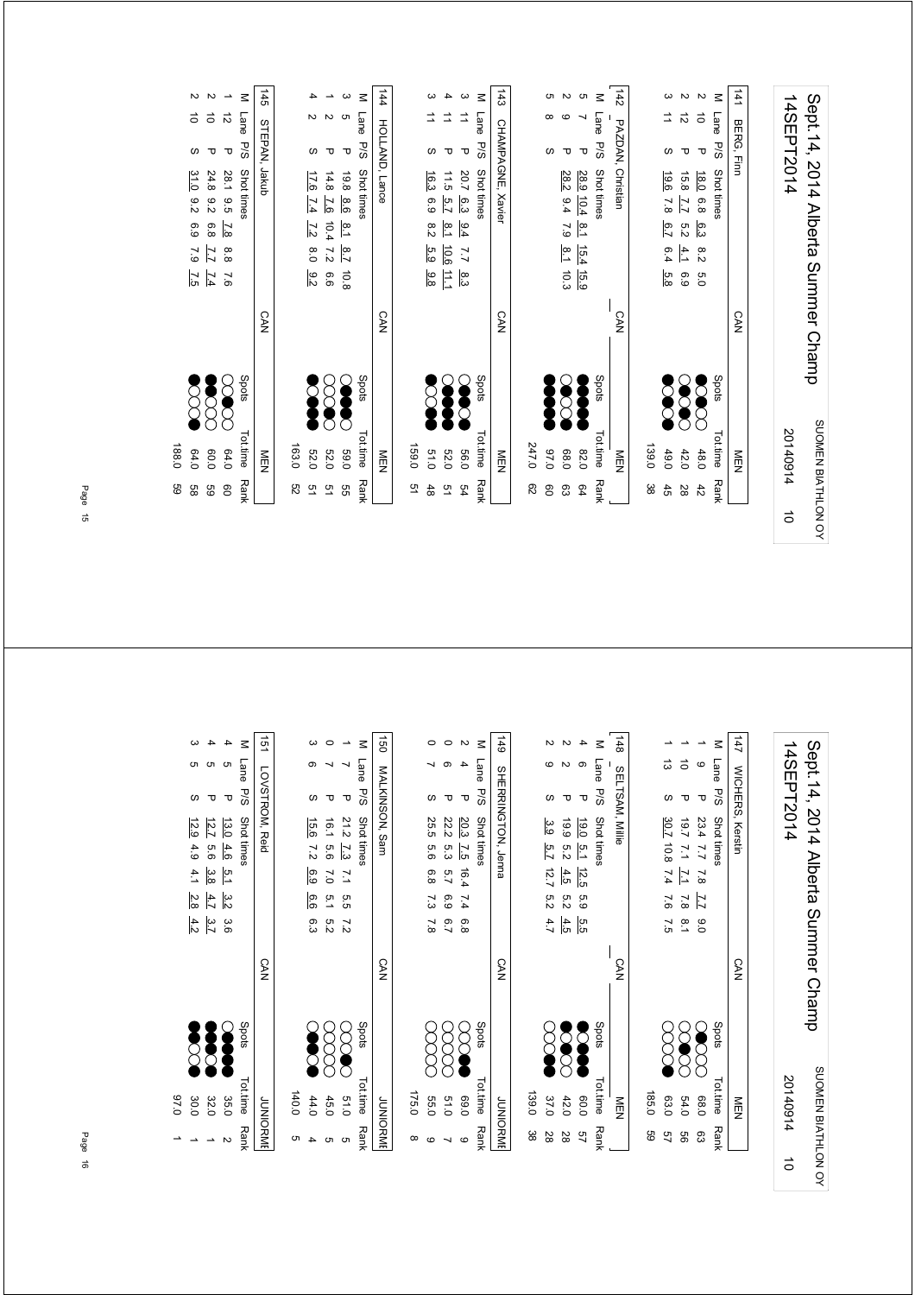| 14SEPT2014 | Sept.14, 2014 Alberta Summer Champ |
|------------|------------------------------------|
| 20140914   | SUOMEN BIATHLON OY                 |
|            |                                    |

|       |                                 | $\overrightarrow{=}$        |                                            | M Lane         |                       |
|-------|---------------------------------|-----------------------------|--------------------------------------------|----------------|-----------------------|
|       |                                 |                             | ᠊ᠣ                                         |                |                       |
|       | 16.3<br>8.98.2<br>ი<br>დ<br>8.8 | 11.5 5.7<br>$8.1$ 10.6<br>Ë | 20.7 6.3 9.4<br>$\overline{17}$<br>.<br>မြ | P/S Shot times | 143 CHAMPAGNE, Xavier |
|       |                                 |                             |                                            |                | <b>CAN</b>            |
|       | SOO                             | <b>SSS</b>                  |                                            | Spots          |                       |
| 159.0 | 0.15                            | <b>52.0</b>                 | 0.96                                       | Tot.time Rank  | ≧□                    |
| 9     | 48                              | 51                          | 54                                         |                |                       |

|                   |       |                      |                       |                       | $\leq$              |                    |
|-------------------|-------|----------------------|-----------------------|-----------------------|---------------------|--------------------|
| 145 STEPAN, Jakub |       |                      |                       | <b>ហ</b>              |                     |                    |
|                   |       |                      |                       | ᠊ᠣ                    |                     |                    |
|                   |       | 17.6 7.4 7.2 8.0 9.2 | 14.8 7.6 10.4 7.2 6.6 | 19.8 8.6 8.1 8.7 10.8 | Lane P/S Shot times | 144 HOLLAND, Lance |
| <b>CAN</b>        |       |                      |                       |                       |                     | <b>CAN</b>         |
|                   |       | Š                    | <b>SCO</b>            | S                     | Spots               |                    |
| NEN               | 163.0 | <b>52.0</b>          | <b>52.0</b>           | <b>0.00</b>           | Tottime Ran         | NEN<br>EN          |
|                   | g     | 91                   | 91                    | g<br>G                |                     |                    |

|       |                  |                   |                  | $\leq$              |                    |
|-------|------------------|-------------------|------------------|---------------------|--------------------|
|       |                  |                   |                  |                     |                    |
|       |                  |                   |                  | Lane P/S Shot times | 144 HOLLAND, Lance |
|       |                  |                   |                  |                     |                    |
|       |                  |                   |                  |                     |                    |
|       |                  |                   |                  |                     |                    |
|       | 17.6 7.4 7.2 8.0 | 14.8 7.6 10.4 7.2 | 19.8 8.6 8.1 8.7 |                     |                    |
|       |                  |                   |                  |                     |                    |
|       | $-9.2$           | 9.9               | 801              |                     |                    |
|       |                  |                   |                  |                     |                    |
|       |                  |                   |                  |                     | <b>CAN</b>         |
|       |                  |                   |                  |                     |                    |
|       |                  |                   |                  |                     |                    |
|       |                  | <b>3888</b>       |                  | <b>Spots</b>        |                    |
|       |                  |                   |                  |                     |                    |
|       |                  |                   |                  |                     |                    |
| 163.0 | 52.0             | 52.0              | <b>D.9.0</b>     | Tot.time Rank       |                    |
|       |                  |                   |                  |                     | ≧□                 |
| g     |                  | 51                | 9g               |                     |                    |
|       |                  |                   |                  |                     |                    |

|       |                         |                             |                       | $\leq$<br>Lane | 144<br>HOLLAND, Lance |
|-------|-------------------------|-----------------------------|-----------------------|----------------|-----------------------|
|       | 17.6 7.4<br>7.2 8.0 9.2 | 14.8 7.6<br>10.4<br>7.2 6.6 | 19.8 8.6 8.1 8.7 10.8 | P/S Shot times |                       |
|       | <b>Second</b>           |                             | <b>Second</b>         | Spots          | <b>CAN</b>            |
| 163.0 | 52.0                    | 029                         | <b>0.69</b>           | Tot.time Rank  | る                     |
| 82    | ں<br>د                  | 9                           | 9S                    |                |                       |

|       |        |                      |                                                  |                            | <b>THE INCLUSION FOUR</b>              |
|-------|--------|----------------------|--------------------------------------------------|----------------------------|----------------------------------------|
|       | ω      |                      | ᠊ᠣ                                               |                            |                                        |
|       |        |                      |                                                  |                            |                                        |
|       |        |                      |                                                  |                            |                                        |
|       |        |                      |                                                  |                            |                                        |
|       |        |                      |                                                  |                            |                                        |
|       |        |                      |                                                  |                            |                                        |
|       |        |                      |                                                  |                            | <b>SILIP</b>                           |
|       |        |                      |                                                  | Spots                      |                                        |
| 163.0 | 52.0   | 52.0                 | 0.69                                             |                            | <b>NICIAL</b>                          |
| g     | ں<br>د | 51                   | gg                                               |                            |                                        |
|       |        | 17.6 7.4 7.2 8.0 9.2 | 14.8 7.6 10.4 7.2 6.6<br>8<br>8<br><b>Second</b> | 19.8 8.6 8.1 8.7 10.8<br>S | M Lane P/S Shot times<br>Tot.time Rank |

| SSS | <b>Spots</b><br>Tot.time Ranl<br>64.0<br>0.06 |
|-----|-----------------------------------------------|
|     |                                               |

M Lane

P/S Shot times Shots Shots Tot.time Rank

**Second**  $\sum_{i=1}^{n}$ 

 2 3.6 3.2 4.6 35.0 5.1 4 5 P 13.0 4 5 P 12.7 5.6 3.8 4.7 3.7 P 12.7 5.0 1 1 4.2 2.8 4.9 30.0 4.1 3 5 S 12.9

 $0.76$ 

 $\overline{\phantom{0}}$ 

| 。<br>。                | c                      |                             |                     |             |                                     |
|-----------------------|------------------------|-----------------------------|---------------------|-------------|-------------------------------------|
|                       |                        |                             |                     |             |                                     |
| この のり テリ アリ けいこ       | P 23.4 7.7 7.8 7.7 9.0 | M Lane P/S Shottimes        | 147 MOHERS, Kerstin | 14SEPT2014  |                                     |
|                       |                        |                             |                     |             |                                     |
|                       |                        |                             |                     |             |                                     |
|                       |                        |                             |                     |             |                                     |
|                       |                        |                             |                     |             |                                     |
|                       |                        |                             | <b>CAN</b>          |             | Sept. 14, 2014 Alberta Summer Champ |
| $\sum_{n=1}^{\infty}$ | <b>SSSS</b>            | Spots<br>Spots<br>Induction |                     |             |                                     |
|                       |                        |                             |                     |             |                                     |
|                       | 68.0 63                |                             | NEN                 | 20140914 10 |                                     |
|                       |                        |                             |                     |             |                                     |
|                       |                        |                             |                     |             | SUOMEN BIATHLON OY                  |

| ,                                                                                                                                                                                                                            |                       | 148 SELTSAM, Millie |       |                       |                      | $\alpha$                           |
|------------------------------------------------------------------------------------------------------------------------------------------------------------------------------------------------------------------------------|-----------------------|---------------------|-------|-----------------------|----------------------|------------------------------------|
|                                                                                                                                                                                                                              | M Lane P/S Shot times |                     |       | 30.7 10.8 7.4 7.6 7.5 | 19.7 7.1 7.1 7.8 8.1 | e 20.00 / 1.1 / 20.00 − 2.00 − 2.1 |
|                                                                                                                                                                                                                              |                       | <b>CAN</b>          |       |                       |                      |                                    |
| Department of the control of the control of the control of the control of the control of the control of the control of the control of the control of the control of the control of the control of the control of the control | spots                 |                     |       | $\sum_{\blacksquare}$ | $\sum_{i=1}^{n}$     | ECCL                               |
|                                                                                                                                                                                                                              | Tot.time Rank         | NEN                 | 185.0 | 63.0                  | 54.0                 | ca non                             |
|                                                                                                                                                                                                                              |                       |                     | 9g    | 49                    | 9g                   |                                    |

|     |               |             | <b>CAN</b> |                      |                | 149 SHERRINGTON, Jenna |  |        |
|-----|---------------|-------------|------------|----------------------|----------------|------------------------|--|--------|
|     |               |             |            |                      |                |                        |  |        |
| ယ္က | 139.0         |             |            |                      |                |                        |  |        |
|     | 37.0          | 8<br>2      |            | 3.9 5.7 12.7 5.2 4.7 |                |                        |  |        |
| జ   | 42.0          | <b>SSSS</b> |            | 4.5                  | 4.5 5.2        | 19.9 5.2               |  |        |
| 9   | 0.09          | <b>OOO</b>  |            | եր<br>Մ              | $5.1$ 12.5 5.9 | $-0.0$                 |  |        |
|     | Tot.time Rank | Spots       |            |                      |                | Lane P/S Shot times    |  | $\leq$ |

|       |                      |                      |                       | M Lane P/S Shot tinnes | 149 SHERRING1ON, Jenna |
|-------|----------------------|----------------------|-----------------------|------------------------|------------------------|
|       | c.                   |                      |                       |                        |                        |
|       | 25.5 5.6 6.8 7.3 7.8 |                      | 20.3 7.5 16.4 7.4 6.8 |                        |                        |
|       |                      |                      |                       |                        |                        |
|       |                      |                      |                       |                        |                        |
|       |                      | 22.2 5.3 5.7 6.9 6.7 |                       |                        |                        |
|       |                      |                      |                       |                        |                        |
|       |                      |                      |                       |                        | CAN                    |
|       | coo                  | 8<br>8               | 8                     | Spots                  |                        |
| 175.0 | <b>0.95</b>          | 0.16                 | 069                   | Tot.time Rank          | JUNIORM                |
|       | œ                    |                      | Ġ                     |                        |                        |

| <b>JUNIORME</b> |            | <b>CAN</b> |                      |  | 151 LOVSTROM, Reid    |  |  |
|-----------------|------------|------------|----------------------|--|-----------------------|--|--|
|                 |            |            |                      |  |                       |  |  |
| 140.0           |            |            |                      |  |                       |  |  |
| 44.0            | <b>SOL</b> |            | 15.6 7.2 6.9 6.6 6.3 |  |                       |  |  |
| 45.0            | gg         |            | 16.1 5.6 7.0 5.1 5.2 |  |                       |  |  |
| 0.10            | $\%$       |            | 21.2 7.3 7.1 5.5 7.2 |  |                       |  |  |
| Tot time Rank   | spots      |            |                      |  | M Lane P/S Shot times |  |  |
| <b>JUNIORMI</b> |            | <b>CAN</b> |                      |  | 150 MALKINSON, Sam    |  |  |
|                 |            |            |                      |  |                       |  |  |

| č  |  |
|----|--|
| ſЛ |  |